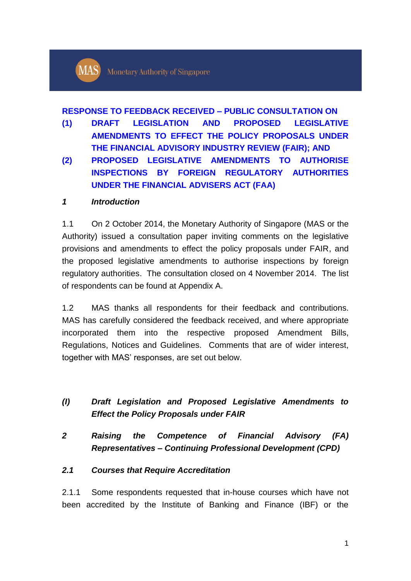

#### **RESPONSE TO FEEDBACK RECEIVED – PUBLIC CONSULTATION ON**

- **(1) DRAFT LEGISLATION AND PROPOSED LEGISLATIVE AMENDMENTS TO EFFECT THE POLICY PROPOSALS UNDER THE FINANCIAL ADVISORY INDUSTRY REVIEW (FAIR); AND**
- **(2) PROPOSED LEGISLATIVE AMENDMENTS TO AUTHORISE INSPECTIONS BY FOREIGN REGULATORY AUTHORITIES UNDER THE FINANCIAL ADVISERS ACT (FAA)**

#### *1 Introduction*

1.1 On 2 October 2014, the Monetary Authority of Singapore (MAS or the Authority) issued a consultation paper inviting comments on the legislative provisions and amendments to effect the policy proposals under FAIR, and the proposed legislative amendments to authorise inspections by foreign regulatory authorities. The consultation closed on 4 November 2014. The list of respondents can be found at Appendix A.

1.2 MAS thanks all respondents for their feedback and contributions. MAS has carefully considered the feedback received, and where appropriate incorporated them into the respective proposed Amendment Bills, Regulations, Notices and Guidelines. Comments that are of wider interest, together with MAS' responses, are set out below.

# *(I) Draft Legislation and Proposed Legislative Amendments to Effect the Policy Proposals under FAIR*

*2 Raising the Competence of Financial Advisory (FA) Representatives – Continuing Professional Development (CPD)*

#### *2.1 Courses that Require Accreditation*

2.1.1 Some respondents requested that in-house courses which have not been accredited by the Institute of Banking and Finance (IBF) or the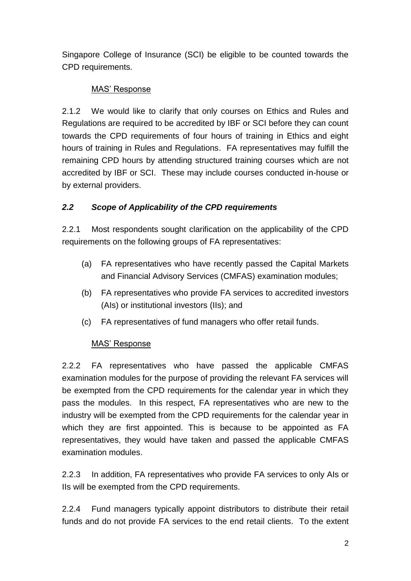Singapore College of Insurance (SCI) be eligible to be counted towards the CPD requirements.

# MAS' Response

2.1.2 We would like to clarify that only courses on Ethics and Rules and Regulations are required to be accredited by IBF or SCI before they can count towards the CPD requirements of four hours of training in Ethics and eight hours of training in Rules and Regulations. FA representatives may fulfill the remaining CPD hours by attending structured training courses which are not accredited by IBF or SCI. These may include courses conducted in-house or by external providers.

# *2.2 Scope of Applicability of the CPD requirements*

2.2.1 Most respondents sought clarification on the applicability of the CPD requirements on the following groups of FA representatives:

- (a) FA representatives who have recently passed the Capital Markets and Financial Advisory Services (CMFAS) examination modules;
- (b) FA representatives who provide FA services to accredited investors (AIs) or institutional investors (IIs); and
- (c) FA representatives of fund managers who offer retail funds.

## MAS' Response

2.2.2 FA representatives who have passed the applicable CMFAS examination modules for the purpose of providing the relevant FA services will be exempted from the CPD requirements for the calendar year in which they pass the modules. In this respect, FA representatives who are new to the industry will be exempted from the CPD requirements for the calendar year in which they are first appointed. This is because to be appointed as FA representatives, they would have taken and passed the applicable CMFAS examination modules.

2.2.3 In addition, FA representatives who provide FA services to only AIs or IIs will be exempted from the CPD requirements.

2.2.4 Fund managers typically appoint distributors to distribute their retail funds and do not provide FA services to the end retail clients. To the extent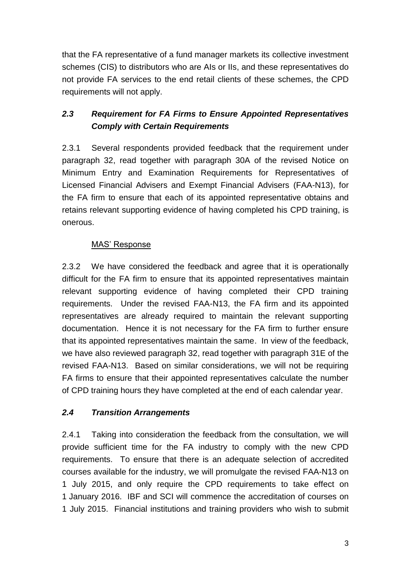that the FA representative of a fund manager markets its collective investment schemes (CIS) to distributors who are AIs or IIs, and these representatives do not provide FA services to the end retail clients of these schemes, the CPD requirements will not apply.

# *2.3 Requirement for FA Firms to Ensure Appointed Representatives Comply with Certain Requirements*

2.3.1 Several respondents provided feedback that the requirement under paragraph 32, read together with paragraph 30A of the revised Notice on Minimum Entry and Examination Requirements for Representatives of Licensed Financial Advisers and Exempt Financial Advisers (FAA-N13), for the FA firm to ensure that each of its appointed representative obtains and retains relevant supporting evidence of having completed his CPD training, is onerous.

## MAS' Response

2.3.2 We have considered the feedback and agree that it is operationally difficult for the FA firm to ensure that its appointed representatives maintain relevant supporting evidence of having completed their CPD training requirements. Under the revised FAA-N13, the FA firm and its appointed representatives are already required to maintain the relevant supporting documentation. Hence it is not necessary for the FA firm to further ensure that its appointed representatives maintain the same. In view of the feedback, we have also reviewed paragraph 32, read together with paragraph 31E of the revised FAA-N13. Based on similar considerations, we will not be requiring FA firms to ensure that their appointed representatives calculate the number of CPD training hours they have completed at the end of each calendar year.

## *2.4 Transition Arrangements*

2.4.1 Taking into consideration the feedback from the consultation, we will provide sufficient time for the FA industry to comply with the new CPD requirements. To ensure that there is an adequate selection of accredited courses available for the industry, we will promulgate the revised FAA-N13 on 1 July 2015, and only require the CPD requirements to take effect on 1 January 2016. IBF and SCI will commence the accreditation of courses on 1 July 2015. Financial institutions and training providers who wish to submit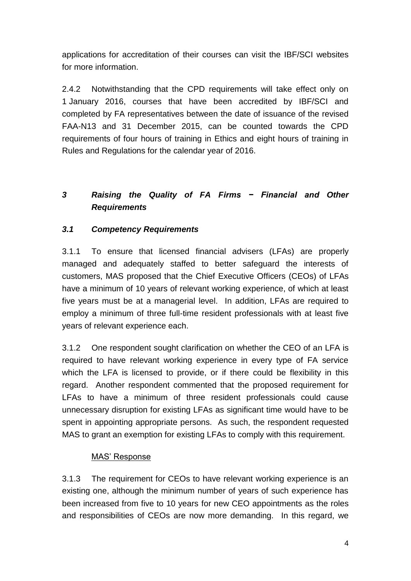applications for accreditation of their courses can visit the IBF/SCI websites for more information.

2.4.2 Notwithstanding that the CPD requirements will take effect only on 1 January 2016, courses that have been accredited by IBF/SCI and completed by FA representatives between the date of issuance of the revised FAA-N13 and 31 December 2015, can be counted towards the CPD requirements of four hours of training in Ethics and eight hours of training in Rules and Regulations for the calendar year of 2016.

# *3 Raising the Quality of FA Firms − Financial and Other Requirements*

# *3.1 Competency Requirements*

3.1.1 To ensure that licensed financial advisers (LFAs) are properly managed and adequately staffed to better safeguard the interests of customers, MAS proposed that the Chief Executive Officers (CEOs) of LFAs have a minimum of 10 years of relevant working experience, of which at least five years must be at a managerial level. In addition, LFAs are required to employ a minimum of three full-time resident professionals with at least five years of relevant experience each.

3.1.2 One respondent sought clarification on whether the CEO of an LFA is required to have relevant working experience in every type of FA service which the LFA is licensed to provide, or if there could be flexibility in this regard. Another respondent commented that the proposed requirement for LFAs to have a minimum of three resident professionals could cause unnecessary disruption for existing LFAs as significant time would have to be spent in appointing appropriate persons. As such, the respondent requested MAS to grant an exemption for existing LFAs to comply with this requirement.

## MAS' Response

3.1.3 The requirement for CEOs to have relevant working experience is an existing one, although the minimum number of years of such experience has been increased from five to 10 years for new CEO appointments as the roles and responsibilities of CEOs are now more demanding. In this regard, we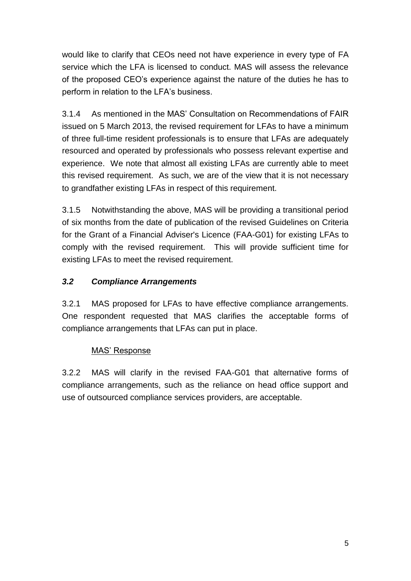would like to clarify that CEOs need not have experience in every type of FA service which the LFA is licensed to conduct. MAS will assess the relevance of the proposed CEO's experience against the nature of the duties he has to perform in relation to the LFA's business.

3.1.4 As mentioned in the MAS' Consultation on Recommendations of FAIR issued on 5 March 2013, the revised requirement for LFAs to have a minimum of three full-time resident professionals is to ensure that LFAs are adequately resourced and operated by professionals who possess relevant expertise and experience. We note that almost all existing LFAs are currently able to meet this revised requirement. As such, we are of the view that it is not necessary to grandfather existing LFAs in respect of this requirement.

3.1.5 Notwithstanding the above, MAS will be providing a transitional period of six months from the date of publication of the revised Guidelines on Criteria for the Grant of a Financial Adviser's Licence (FAA-G01) for existing LFAs to comply with the revised requirement. This will provide sufficient time for existing LFAs to meet the revised requirement.

# *3.2 Compliance Arrangements*

3.2.1 MAS proposed for LFAs to have effective compliance arrangements. One respondent requested that MAS clarifies the acceptable forms of compliance arrangements that LFAs can put in place.

## MAS' Response

3.2.2 MAS will clarify in the revised FAA-G01 that alternative forms of compliance arrangements, such as the reliance on head office support and use of outsourced compliance services providers, are acceptable.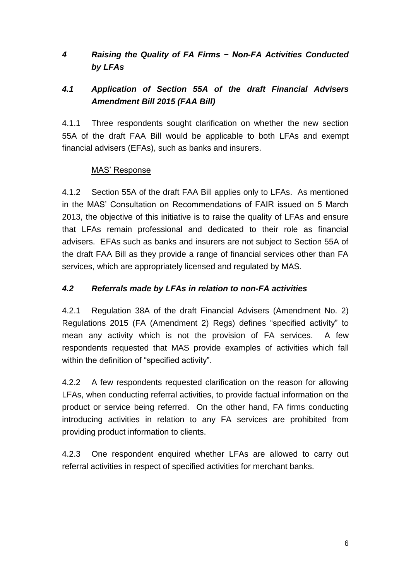# *4 Raising the Quality of FA Firms − Non-FA Activities Conducted by LFAs*

# *4.1 Application of Section 55A of the draft Financial Advisers Amendment Bill 2015 (FAA Bill)*

4.1.1 Three respondents sought clarification on whether the new section 55A of the draft FAA Bill would be applicable to both LFAs and exempt financial advisers (EFAs), such as banks and insurers.

### MAS' Response

4.1.2 Section 55A of the draft FAA Bill applies only to LFAs. As mentioned in the MAS' Consultation on Recommendations of FAIR issued on 5 March 2013, the objective of this initiative is to raise the quality of LFAs and ensure that LFAs remain professional and dedicated to their role as financial advisers. EFAs such as banks and insurers are not subject to Section 55A of the draft FAA Bill as they provide a range of financial services other than FA services, which are appropriately licensed and regulated by MAS.

## *4.2 Referrals made by LFAs in relation to non-FA activities*

4.2.1 Regulation 38A of the draft Financial Advisers (Amendment No. 2) Regulations 2015 (FA (Amendment 2) Regs) defines "specified activity" to mean any activity which is not the provision of FA services. A few respondents requested that MAS provide examples of activities which fall within the definition of "specified activity".

4.2.2 A few respondents requested clarification on the reason for allowing LFAs, when conducting referral activities, to provide factual information on the product or service being referred. On the other hand, FA firms conducting introducing activities in relation to any FA services are prohibited from providing product information to clients.

4.2.3 One respondent enquired whether LFAs are allowed to carry out referral activities in respect of specified activities for merchant banks.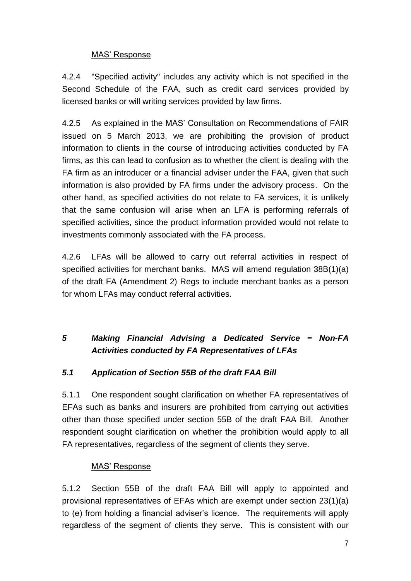#### MAS' Response

4.2.4 "Specified activity" includes any activity which is not specified in the Second Schedule of the FAA, such as credit card services provided by licensed banks or will writing services provided by law firms.

4.2.5 As explained in the MAS' Consultation on Recommendations of FAIR issued on 5 March 2013, we are prohibiting the provision of product information to clients in the course of introducing activities conducted by FA firms, as this can lead to confusion as to whether the client is dealing with the FA firm as an introducer or a financial adviser under the FAA, given that such information is also provided by FA firms under the advisory process. On the other hand, as specified activities do not relate to FA services, it is unlikely that the same confusion will arise when an LFA is performing referrals of specified activities, since the product information provided would not relate to investments commonly associated with the FA process.

4.2.6 LFAs will be allowed to carry out referral activities in respect of specified activities for merchant banks. MAS will amend regulation 38B(1)(a) of the draft FA (Amendment 2) Regs to include merchant banks as a person for whom LFAs may conduct referral activities.

# *5 Making Financial Advising a Dedicated Service − Non-FA Activities conducted by FA Representatives of LFAs*

#### *5.1 Application of Section 55B of the draft FAA Bill*

5.1.1 One respondent sought clarification on whether FA representatives of EFAs such as banks and insurers are prohibited from carrying out activities other than those specified under section 55B of the draft FAA Bill. Another respondent sought clarification on whether the prohibition would apply to all FA representatives, regardless of the segment of clients they serve.

#### MAS' Response

5.1.2 Section 55B of the draft FAA Bill will apply to appointed and provisional representatives of EFAs which are exempt under section 23(1)(a) to (e) from holding a financial adviser's licence. The requirements will apply regardless of the segment of clients they serve. This is consistent with our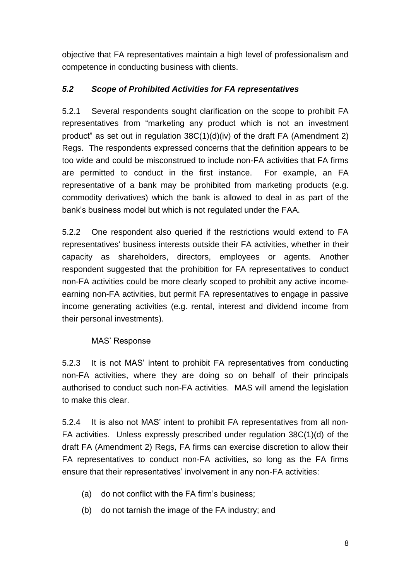objective that FA representatives maintain a high level of professionalism and competence in conducting business with clients.

## *5.2 Scope of Prohibited Activities for FA representatives*

5.2.1 Several respondents sought clarification on the scope to prohibit FA representatives from "marketing any product which is not an investment product" as set out in regulation 38C(1)(d)(iv) of the draft FA (Amendment 2) Regs. The respondents expressed concerns that the definition appears to be too wide and could be misconstrued to include non-FA activities that FA firms are permitted to conduct in the first instance. For example, an FA representative of a bank may be prohibited from marketing products (e.g. commodity derivatives) which the bank is allowed to deal in as part of the bank's business model but which is not regulated under the FAA.

5.2.2 One respondent also queried if the restrictions would extend to FA representatives' business interests outside their FA activities, whether in their capacity as shareholders, directors, employees or agents. Another respondent suggested that the prohibition for FA representatives to conduct non-FA activities could be more clearly scoped to prohibit any active incomeearning non-FA activities, but permit FA representatives to engage in passive income generating activities (e.g. rental, interest and dividend income from their personal investments).

## MAS' Response

5.2.3 It is not MAS' intent to prohibit FA representatives from conducting non-FA activities, where they are doing so on behalf of their principals authorised to conduct such non-FA activities. MAS will amend the legislation to make this clear.

5.2.4 It is also not MAS' intent to prohibit FA representatives from all non-FA activities. Unless expressly prescribed under regulation 38C(1)(d) of the draft FA (Amendment 2) Regs, FA firms can exercise discretion to allow their FA representatives to conduct non-FA activities, so long as the FA firms ensure that their representatives' involvement in any non-FA activities:

- (a) do not conflict with the FA firm's business;
- (b) do not tarnish the image of the FA industry; and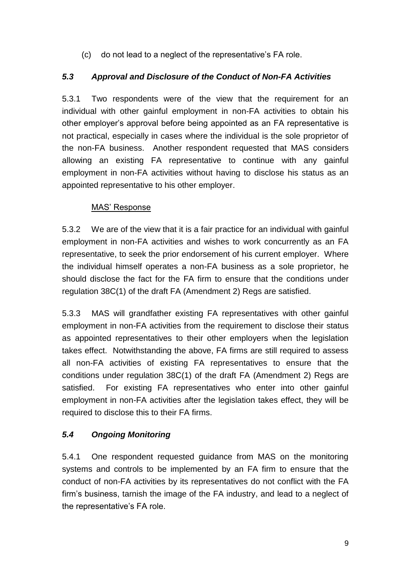(c) do not lead to a neglect of the representative's FA role.

## *5.3 Approval and Disclosure of the Conduct of Non-FA Activities*

5.3.1 Two respondents were of the view that the requirement for an individual with other gainful employment in non-FA activities to obtain his other employer's approval before being appointed as an FA representative is not practical, especially in cases where the individual is the sole proprietor of the non-FA business. Another respondent requested that MAS considers allowing an existing FA representative to continue with any gainful employment in non-FA activities without having to disclose his status as an appointed representative to his other employer.

### MAS' Response

5.3.2 We are of the view that it is a fair practice for an individual with gainful employment in non-FA activities and wishes to work concurrently as an FA representative, to seek the prior endorsement of his current employer. Where the individual himself operates a non-FA business as a sole proprietor, he should disclose the fact for the FA firm to ensure that the conditions under regulation 38C(1) of the draft FA (Amendment 2) Regs are satisfied.

5.3.3 MAS will grandfather existing FA representatives with other gainful employment in non-FA activities from the requirement to disclose their status as appointed representatives to their other employers when the legislation takes effect. Notwithstanding the above, FA firms are still required to assess all non-FA activities of existing FA representatives to ensure that the conditions under regulation 38C(1) of the draft FA (Amendment 2) Regs are satisfied. For existing FA representatives who enter into other gainful employment in non-FA activities after the legislation takes effect, they will be required to disclose this to their FA firms.

## *5.4 Ongoing Monitoring*

5.4.1 One respondent requested guidance from MAS on the monitoring systems and controls to be implemented by an FA firm to ensure that the conduct of non-FA activities by its representatives do not conflict with the FA firm's business, tarnish the image of the FA industry, and lead to a neglect of the representative's FA role.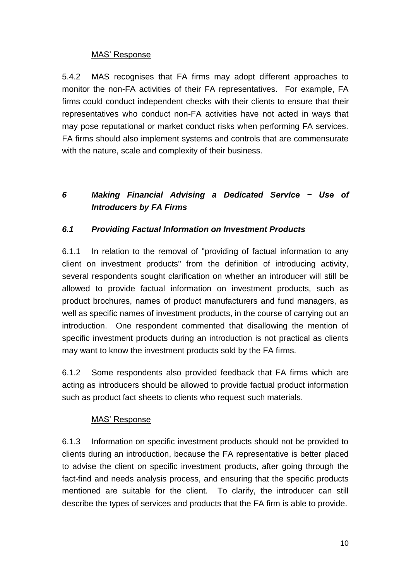### MAS' Response

5.4.2 MAS recognises that FA firms may adopt different approaches to monitor the non-FA activities of their FA representatives. For example, FA firms could conduct independent checks with their clients to ensure that their representatives who conduct non-FA activities have not acted in ways that may pose reputational or market conduct risks when performing FA services. FA firms should also implement systems and controls that are commensurate with the nature, scale and complexity of their business.

# *6 Making Financial Advising a Dedicated Service − Use of Introducers by FA Firms*

## *6.1 Providing Factual Information on Investment Products*

6.1.1 In relation to the removal of "providing of factual information to any client on investment products" from the definition of introducing activity, several respondents sought clarification on whether an introducer will still be allowed to provide factual information on investment products, such as product brochures, names of product manufacturers and fund managers, as well as specific names of investment products, in the course of carrying out an introduction. One respondent commented that disallowing the mention of specific investment products during an introduction is not practical as clients may want to know the investment products sold by the FA firms.

6.1.2 Some respondents also provided feedback that FA firms which are acting as introducers should be allowed to provide factual product information such as product fact sheets to clients who request such materials.

#### MAS' Response

6.1.3 Information on specific investment products should not be provided to clients during an introduction, because the FA representative is better placed to advise the client on specific investment products, after going through the fact-find and needs analysis process, and ensuring that the specific products mentioned are suitable for the client. To clarify, the introducer can still describe the types of services and products that the FA firm is able to provide.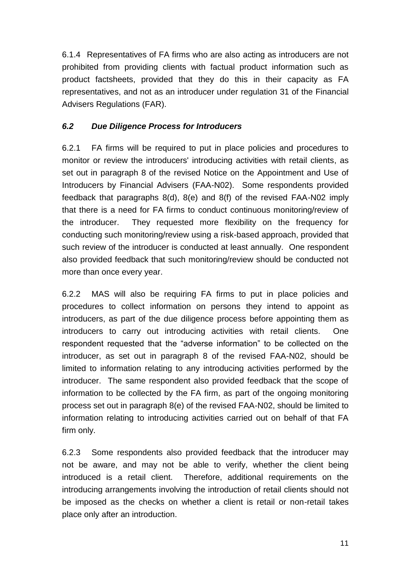6.1.4 Representatives of FA firms who are also acting as introducers are not prohibited from providing clients with factual product information such as product factsheets, provided that they do this in their capacity as FA representatives, and not as an introducer under regulation 31 of the Financial Advisers Regulations (FAR).

## *6.2 Due Diligence Process for Introducers*

6.2.1 FA firms will be required to put in place policies and procedures to monitor or review the introducers' introducing activities with retail clients, as set out in paragraph 8 of the revised Notice on the Appointment and Use of Introducers by Financial Advisers (FAA-N02). Some respondents provided feedback that paragraphs 8(d), 8(e) and 8(f) of the revised FAA-N02 imply that there is a need for FA firms to conduct continuous monitoring/review of the introducer. They requested more flexibility on the frequency for conducting such monitoring/review using a risk-based approach, provided that such review of the introducer is conducted at least annually. One respondent also provided feedback that such monitoring/review should be conducted not more than once every year.

6.2.2 MAS will also be requiring FA firms to put in place policies and procedures to collect information on persons they intend to appoint as introducers, as part of the due diligence process before appointing them as introducers to carry out introducing activities with retail clients. One respondent requested that the "adverse information" to be collected on the introducer, as set out in paragraph 8 of the revised FAA-N02, should be limited to information relating to any introducing activities performed by the introducer. The same respondent also provided feedback that the scope of information to be collected by the FA firm, as part of the ongoing monitoring process set out in paragraph 8(e) of the revised FAA-N02, should be limited to information relating to introducing activities carried out on behalf of that FA firm only.

6.2.3 Some respondents also provided feedback that the introducer may not be aware, and may not be able to verify, whether the client being introduced is a retail client. Therefore, additional requirements on the introducing arrangements involving the introduction of retail clients should not be imposed as the checks on whether a client is retail or non-retail takes place only after an introduction.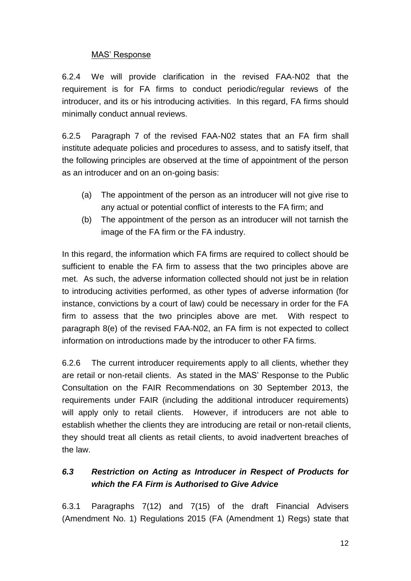#### MAS' Response

6.2.4 We will provide clarification in the revised FAA-N02 that the requirement is for FA firms to conduct periodic/regular reviews of the introducer, and its or his introducing activities. In this regard, FA firms should minimally conduct annual reviews.

6.2.5 Paragraph 7 of the revised FAA-N02 states that an FA firm shall institute adequate policies and procedures to assess, and to satisfy itself, that the following principles are observed at the time of appointment of the person as an introducer and on an on-going basis:

- (a) The appointment of the person as an introducer will not give rise to any actual or potential conflict of interests to the FA firm; and
- (b) The appointment of the person as an introducer will not tarnish the image of the FA firm or the FA industry.

In this regard, the information which FA firms are required to collect should be sufficient to enable the FA firm to assess that the two principles above are met. As such, the adverse information collected should not just be in relation to introducing activities performed, as other types of adverse information (for instance, convictions by a court of law) could be necessary in order for the FA firm to assess that the two principles above are met. With respect to paragraph 8(e) of the revised FAA-N02, an FA firm is not expected to collect information on introductions made by the introducer to other FA firms.

6.2.6 The current introducer requirements apply to all clients, whether they are retail or non-retail clients. As stated in the MAS' Response to the Public Consultation on the FAIR Recommendations on 30 September 2013, the requirements under FAIR (including the additional introducer requirements) will apply only to retail clients. However, if introducers are not able to establish whether the clients they are introducing are retail or non-retail clients, they should treat all clients as retail clients, to avoid inadvertent breaches of the law.

# *6.3 Restriction on Acting as Introducer in Respect of Products for which the FA Firm is Authorised to Give Advice*

6.3.1 Paragraphs 7(12) and 7(15) of the draft Financial Advisers (Amendment No. 1) Regulations 2015 (FA (Amendment 1) Regs) state that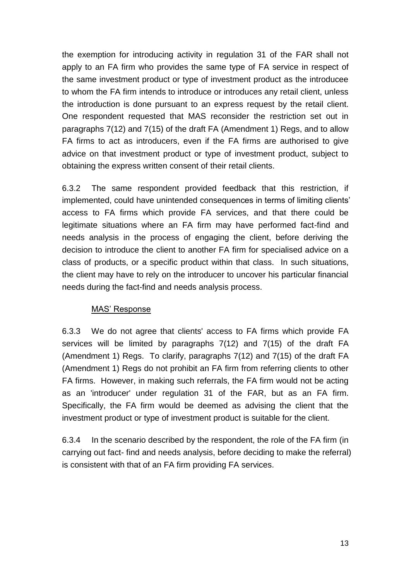the exemption for introducing activity in regulation 31 of the FAR shall not apply to an FA firm who provides the same type of FA service in respect of the same investment product or type of investment product as the introducee to whom the FA firm intends to introduce or introduces any retail client, unless the introduction is done pursuant to an express request by the retail client. One respondent requested that MAS reconsider the restriction set out in paragraphs 7(12) and 7(15) of the draft FA (Amendment 1) Regs, and to allow FA firms to act as introducers, even if the FA firms are authorised to give advice on that investment product or type of investment product, subject to obtaining the express written consent of their retail clients.

6.3.2 The same respondent provided feedback that this restriction, if implemented, could have unintended consequences in terms of limiting clients' access to FA firms which provide FA services, and that there could be legitimate situations where an FA firm may have performed fact-find and needs analysis in the process of engaging the client, before deriving the decision to introduce the client to another FA firm for specialised advice on a class of products, or a specific product within that class. In such situations, the client may have to rely on the introducer to uncover his particular financial needs during the fact-find and needs analysis process.

#### MAS' Response

6.3.3 We do not agree that clients' access to FA firms which provide FA services will be limited by paragraphs 7(12) and 7(15) of the draft FA (Amendment 1) Regs. To clarify, paragraphs 7(12) and 7(15) of the draft FA (Amendment 1) Regs do not prohibit an FA firm from referring clients to other FA firms. However, in making such referrals, the FA firm would not be acting as an 'introducer' under regulation 31 of the FAR, but as an FA firm. Specifically, the FA firm would be deemed as advising the client that the investment product or type of investment product is suitable for the client.

6.3.4 In the scenario described by the respondent, the role of the FA firm (in carrying out fact- find and needs analysis, before deciding to make the referral) is consistent with that of an FA firm providing FA services.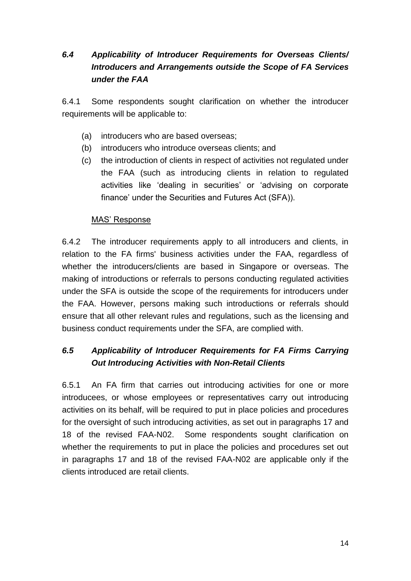# *6.4 Applicability of Introducer Requirements for Overseas Clients/ Introducers and Arrangements outside the Scope of FA Services under the FAA*

6.4.1 Some respondents sought clarification on whether the introducer requirements will be applicable to:

- (a) introducers who are based overseas;
- (b) introducers who introduce overseas clients; and
- (c) the introduction of clients in respect of activities not regulated under the FAA (such as introducing clients in relation to regulated activities like 'dealing in securities' or 'advising on corporate finance' under the Securities and Futures Act (SFA)).

#### MAS' Response

6.4.2 The introducer requirements apply to all introducers and clients, in relation to the FA firms' business activities under the FAA, regardless of whether the introducers/clients are based in Singapore or overseas. The making of introductions or referrals to persons conducting regulated activities under the SFA is outside the scope of the requirements for introducers under the FAA. However, persons making such introductions or referrals should ensure that all other relevant rules and regulations, such as the licensing and business conduct requirements under the SFA, are complied with.

# *6.5 Applicability of Introducer Requirements for FA Firms Carrying Out Introducing Activities with Non-Retail Clients*

6.5.1 An FA firm that carries out introducing activities for one or more introducees, or whose employees or representatives carry out introducing activities on its behalf, will be required to put in place policies and procedures for the oversight of such introducing activities, as set out in paragraphs 17 and 18 of the revised FAA-N02. Some respondents sought clarification on whether the requirements to put in place the policies and procedures set out in paragraphs 17 and 18 of the revised FAA-N02 are applicable only if the clients introduced are retail clients.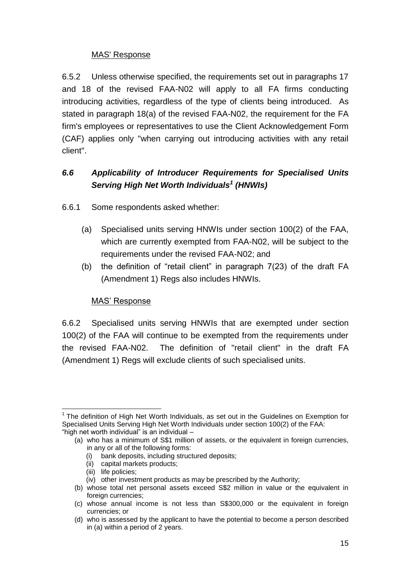#### MAS' Response

6.5.2 Unless otherwise specified, the requirements set out in paragraphs 17 and 18 of the revised FAA-N02 will apply to all FA firms conducting introducing activities, regardless of the type of clients being introduced. As stated in paragraph 18(a) of the revised FAA-N02, the requirement for the FA firm's employees or representatives to use the Client Acknowledgement Form (CAF) applies only "when carrying out introducing activities with any retail client".

# *6.6 Applicability of Introducer Requirements for Specialised Units Serving High Net Worth Individuals<sup>1</sup> (HNWIs)*

6.6.1 Some respondents asked whether:

- (a) Specialised units serving HNWIs under section 100(2) of the FAA, which are currently exempted from FAA-N02, will be subject to the requirements under the revised FAA-N02; and
- (b) the definition of "retail client" in paragraph 7(23) of the draft FA (Amendment 1) Regs also includes HNWIs.

## MAS' Response

6.6.2 Specialised units serving HNWIs that are exempted under section 100(2) of the FAA will continue to be exempted from the requirements under the revised FAA-N02. The definition of "retail client" in the draft FA (Amendment 1) Regs will exclude clients of such specialised units.

 $\overline{1}$  $1$  The definition of High Net Worth Individuals, as set out in the Guidelines on Exemption for Specialised Units Serving High Net Worth Individuals under section 100(2) of the FAA: "high net worth individual" is an individual –

<sup>(</sup>a) who has a minimum of S\$1 million of assets, or the equivalent in foreign currencies, in any or all of the following forms:

<sup>(</sup>i) bank deposits, including structured deposits;

<sup>(</sup>ii) capital markets products;

<sup>(</sup>iii) life policies;

<sup>(</sup>iv) other investment products as may be prescribed by the Authority;

<sup>(</sup>b) whose total net personal assets exceed S\$2 million in value or the equivalent in foreign currencies:

<sup>(</sup>c) whose annual income is not less than S\$300,000 or the equivalent in foreign currencies; or

<sup>(</sup>d) who is assessed by the applicant to have the potential to become a person described in (a) within a period of 2 years.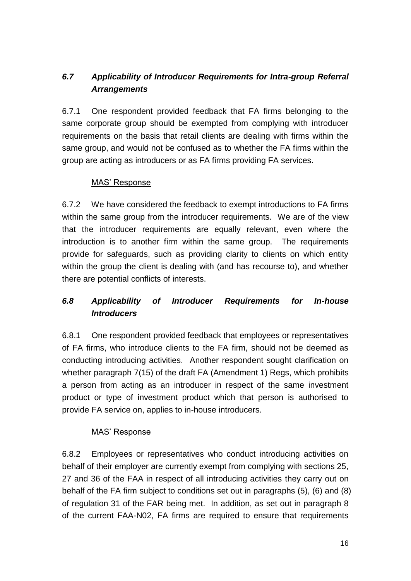# *6.7 Applicability of Introducer Requirements for Intra-group Referral Arrangements*

6.7.1 One respondent provided feedback that FA firms belonging to the same corporate group should be exempted from complying with introducer requirements on the basis that retail clients are dealing with firms within the same group, and would not be confused as to whether the FA firms within the group are acting as introducers or as FA firms providing FA services.

#### MAS' Response

6.7.2 We have considered the feedback to exempt introductions to FA firms within the same group from the introducer requirements. We are of the view that the introducer requirements are equally relevant, even where the introduction is to another firm within the same group. The requirements provide for safeguards, such as providing clarity to clients on which entity within the group the client is dealing with (and has recourse to), and whether there are potential conflicts of interests.

# *6.8 Applicability of Introducer Requirements for In-house Introducers*

6.8.1 One respondent provided feedback that employees or representatives of FA firms, who introduce clients to the FA firm, should not be deemed as conducting introducing activities. Another respondent sought clarification on whether paragraph 7(15) of the draft FA (Amendment 1) Regs, which prohibits a person from acting as an introducer in respect of the same investment product or type of investment product which that person is authorised to provide FA service on, applies to in-house introducers.

## MAS' Response

6.8.2 Employees or representatives who conduct introducing activities on behalf of their employer are currently exempt from complying with sections 25, 27 and 36 of the FAA in respect of all introducing activities they carry out on behalf of the FA firm subject to conditions set out in paragraphs (5), (6) and (8) of regulation 31 of the FAR being met. In addition, as set out in paragraph 8 of the current FAA-N02, FA firms are required to ensure that requirements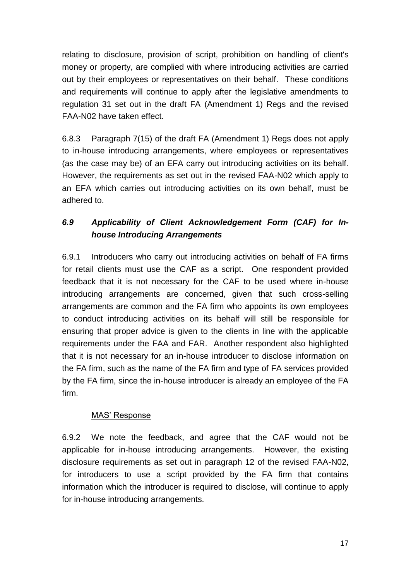relating to disclosure, provision of script, prohibition on handling of client's money or property, are complied with where introducing activities are carried out by their employees or representatives on their behalf. These conditions and requirements will continue to apply after the legislative amendments to regulation 31 set out in the draft FA (Amendment 1) Regs and the revised FAA-N02 have taken effect.

6.8.3 Paragraph 7(15) of the draft FA (Amendment 1) Regs does not apply to in-house introducing arrangements, where employees or representatives (as the case may be) of an EFA carry out introducing activities on its behalf. However, the requirements as set out in the revised FAA-N02 which apply to an EFA which carries out introducing activities on its own behalf, must be adhered to.

# *6.9 Applicability of Client Acknowledgement Form (CAF) for Inhouse Introducing Arrangements*

6.9.1 Introducers who carry out introducing activities on behalf of FA firms for retail clients must use the CAF as a script. One respondent provided feedback that it is not necessary for the CAF to be used where in-house introducing arrangements are concerned, given that such cross-selling arrangements are common and the FA firm who appoints its own employees to conduct introducing activities on its behalf will still be responsible for ensuring that proper advice is given to the clients in line with the applicable requirements under the FAA and FAR. Another respondent also highlighted that it is not necessary for an in-house introducer to disclose information on the FA firm, such as the name of the FA firm and type of FA services provided by the FA firm, since the in-house introducer is already an employee of the FA firm.

## MAS' Response

6.9.2 We note the feedback, and agree that the CAF would not be applicable for in-house introducing arrangements. However, the existing disclosure requirements as set out in paragraph 12 of the revised FAA-N02, for introducers to use a script provided by the FA firm that contains information which the introducer is required to disclose, will continue to apply for in-house introducing arrangements.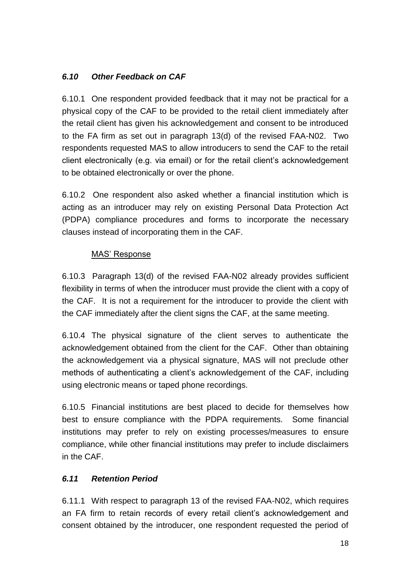# *6.10 Other Feedback on CAF*

6.10.1 One respondent provided feedback that it may not be practical for a physical copy of the CAF to be provided to the retail client immediately after the retail client has given his acknowledgement and consent to be introduced to the FA firm as set out in paragraph 13(d) of the revised FAA-N02. Two respondents requested MAS to allow introducers to send the CAF to the retail client electronically (e.g. via email) or for the retail client's acknowledgement to be obtained electronically or over the phone.

6.10.2 One respondent also asked whether a financial institution which is acting as an introducer may rely on existing Personal Data Protection Act (PDPA) compliance procedures and forms to incorporate the necessary clauses instead of incorporating them in the CAF.

### MAS' Response

6.10.3 Paragraph 13(d) of the revised FAA-N02 already provides sufficient flexibility in terms of when the introducer must provide the client with a copy of the CAF. It is not a requirement for the introducer to provide the client with the CAF immediately after the client signs the CAF, at the same meeting.

6.10.4 The physical signature of the client serves to authenticate the acknowledgement obtained from the client for the CAF. Other than obtaining the acknowledgement via a physical signature, MAS will not preclude other methods of authenticating a client's acknowledgement of the CAF, including using electronic means or taped phone recordings.

6.10.5 Financial institutions are best placed to decide for themselves how best to ensure compliance with the PDPA requirements. Some financial institutions may prefer to rely on existing processes/measures to ensure compliance, while other financial institutions may prefer to include disclaimers in the CAF.

## *6.11 Retention Period*

6.11.1 With respect to paragraph 13 of the revised FAA-N02, which requires an FA firm to retain records of every retail client's acknowledgement and consent obtained by the introducer, one respondent requested the period of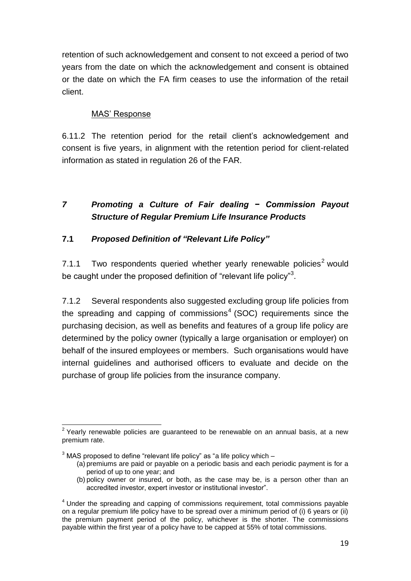retention of such acknowledgement and consent to not exceed a period of two years from the date on which the acknowledgement and consent is obtained or the date on which the FA firm ceases to use the information of the retail client.

### MAS' Response

6.11.2 The retention period for the retail client's acknowledgement and consent is five years, in alignment with the retention period for client-related information as stated in regulation 26 of the FAR.

# *7 Promoting a Culture of Fair dealing − Commission Payout Structure of Regular Premium Life Insurance Products*

## **7.1** *Proposed Definition of "Relevant Life Policy"*

7.1.1 Two respondents queried whether yearly renewable policies<sup>2</sup> would be caught under the proposed definition of "relevant life policy"<sup>3</sup>.

7.1.2 Several respondents also suggested excluding group life policies from the spreading and capping of commissions<sup>4</sup> (SOC) requirements since the purchasing decision, as well as benefits and features of a group life policy are determined by the policy owner (typically a large organisation or employer) on behalf of the insured employees or members. Such organisations would have internal guidelines and authorised officers to evaluate and decide on the purchase of group life policies from the insurance company.

 2 Yearly renewable policies are guaranteed to be renewable on an annual basis, at a new premium rate.

 $3$  MAS proposed to define "relevant life policy" as "a life policy which  $-$ 

<sup>(</sup>a) premiums are paid or payable on a periodic basis and each periodic payment is for a period of up to one year; and

<sup>(</sup>b) policy owner or insured, or both, as the case may be, is a person other than an accredited investor, expert investor or institutional investor".

<sup>&</sup>lt;sup>4</sup> Under the spreading and capping of commissions requirement, total commissions payable on a regular premium life policy have to be spread over a minimum period of (i) 6 years or (ii) the premium payment period of the policy, whichever is the shorter. The commissions payable within the first year of a policy have to be capped at 55% of total commissions.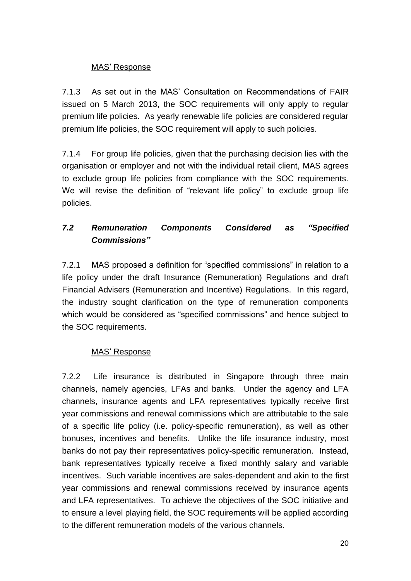#### MAS' Response

7.1.3 As set out in the MAS' Consultation on Recommendations of FAIR issued on 5 March 2013, the SOC requirements will only apply to regular premium life policies. As yearly renewable life policies are considered regular premium life policies, the SOC requirement will apply to such policies.

7.1.4 For group life policies, given that the purchasing decision lies with the organisation or employer and not with the individual retail client, MAS agrees to exclude group life policies from compliance with the SOC requirements. We will revise the definition of "relevant life policy" to exclude group life policies.

# *7.2 Remuneration Components Considered as "Specified Commissions"*

7.2.1 MAS proposed a definition for "specified commissions" in relation to a life policy under the draft Insurance (Remuneration) Regulations and draft Financial Advisers (Remuneration and Incentive) Regulations. In this regard, the industry sought clarification on the type of remuneration components which would be considered as "specified commissions" and hence subject to the SOC requirements.

#### MAS' Response

7.2.2 Life insurance is distributed in Singapore through three main channels, namely agencies, LFAs and banks. Under the agency and LFA channels, insurance agents and LFA representatives typically receive first year commissions and renewal commissions which are attributable to the sale of a specific life policy (i.e. policy-specific remuneration), as well as other bonuses, incentives and benefits. Unlike the life insurance industry, most banks do not pay their representatives policy-specific remuneration. Instead, bank representatives typically receive a fixed monthly salary and variable incentives. Such variable incentives are sales-dependent and akin to the first year commissions and renewal commissions received by insurance agents and LFA representatives. To achieve the objectives of the SOC initiative and to ensure a level playing field, the SOC requirements will be applied according to the different remuneration models of the various channels.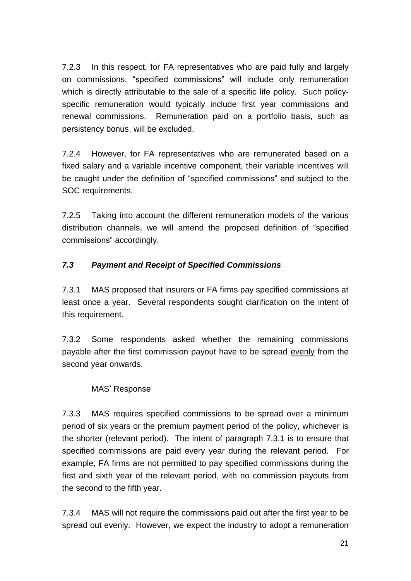7.2.3 In this respect, for FA representatives who are paid fully and largely on commissions, "specified commissions" will include only remuneration which is directly attributable to the sale of a specific life policy. Such policyspecific remuneration would typically include first year commissions and renewal commissions. Remuneration paid on a portfolio basis, such as persistency bonus, will be excluded.

7.2.4 However, for FA representatives who are remunerated based on a fixed salary and a variable incentive component, their variable incentives will be caught under the definition of "specified commissions" and subject to the SOC requirements.

7.2.5 Taking into account the different remuneration models of the various distribution channels, we will amend the proposed definition of "specified commissions" accordingly.

## *7.3 Payment and Receipt of Specified Commissions*

7.3.1 MAS proposed that insurers or FA firms pay specified commissions at least once a year. Several respondents sought clarification on the intent of this requirement.

7.3.2 Some respondents asked whether the remaining commissions payable after the first commission payout have to be spread evenly from the second year onwards.

#### MAS' Response

7.3.3 MAS requires specified commissions to be spread over a minimum period of six years or the premium payment period of the policy, whichever is the shorter (relevant period). The intent of paragraph 7.3.1 is to ensure that specified commissions are paid every year during the relevant period. For example, FA firms are not permitted to pay specified commissions during the first and sixth year of the relevant period, with no commission payouts from the second to the fifth year.

7.3.4 MAS will not require the commissions paid out after the first year to be spread out evenly. However, we expect the industry to adopt a remuneration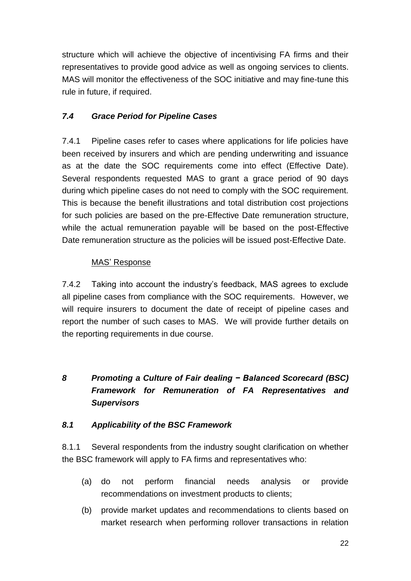structure which will achieve the objective of incentivising FA firms and their representatives to provide good advice as well as ongoing services to clients. MAS will monitor the effectiveness of the SOC initiative and may fine-tune this rule in future, if required.

# *7.4 Grace Period for Pipeline Cases*

7.4.1 Pipeline cases refer to cases where applications for life policies have been received by insurers and which are pending underwriting and issuance as at the date the SOC requirements come into effect (Effective Date). Several respondents requested MAS to grant a grace period of 90 days during which pipeline cases do not need to comply with the SOC requirement. This is because the benefit illustrations and total distribution cost projections for such policies are based on the pre-Effective Date remuneration structure, while the actual remuneration payable will be based on the post-Effective Date remuneration structure as the policies will be issued post-Effective Date.

## MAS' Response

7.4.2 Taking into account the industry's feedback, MAS agrees to exclude all pipeline cases from compliance with the SOC requirements. However, we will require insurers to document the date of receipt of pipeline cases and report the number of such cases to MAS. We will provide further details on the reporting requirements in due course.

# *8 Promoting a Culture of Fair dealing − Balanced Scorecard (BSC) Framework for Remuneration of FA Representatives and Supervisors*

## *8.1 Applicability of the BSC Framework*

8.1.1 Several respondents from the industry sought clarification on whether the BSC framework will apply to FA firms and representatives who:

- (a) do not perform financial needs analysis or provide recommendations on investment products to clients;
- (b) provide market updates and recommendations to clients based on market research when performing rollover transactions in relation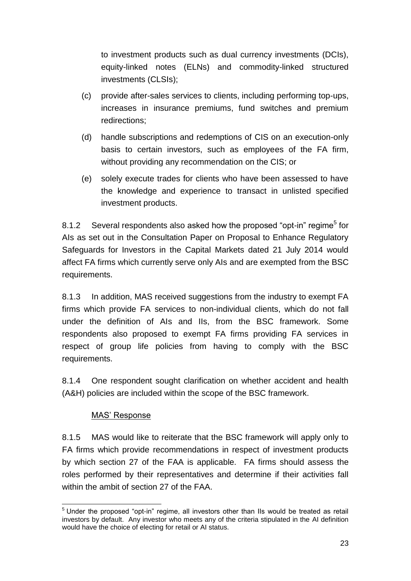to investment products such as dual currency investments (DCIs), equity-linked notes (ELNs) and commodity-linked structured investments (CLSIs);

- (c) provide after-sales services to clients, including performing top-ups, increases in insurance premiums, fund switches and premium redirections;
- (d) handle subscriptions and redemptions of CIS on an execution-only basis to certain investors, such as employees of the FA firm, without providing any recommendation on the CIS; or
- (e) solely execute trades for clients who have been assessed to have the knowledge and experience to transact in unlisted specified investment products.

8.1.2 Several respondents also asked how the proposed "opt-in" regime<sup>5</sup> for AIs as set out in the Consultation Paper on Proposal to Enhance Regulatory Safeguards for Investors in the Capital Markets dated 21 July 2014 would affect FA firms which currently serve only AIs and are exempted from the BSC requirements.

8.1.3 In addition, MAS received suggestions from the industry to exempt FA firms which provide FA services to non-individual clients, which do not fall under the definition of AIs and IIs, from the BSC framework. Some respondents also proposed to exempt FA firms providing FA services in respect of group life policies from having to comply with the BSC requirements.

8.1.4 One respondent sought clarification on whether accident and health (A&H) policies are included within the scope of the BSC framework.

## MAS' Response

8.1.5 MAS would like to reiterate that the BSC framework will apply only to FA firms which provide recommendations in respect of investment products by which section 27 of the FAA is applicable. FA firms should assess the roles performed by their representatives and determine if their activities fall within the ambit of section 27 of the FAA.

<sup>-</sup> $5$  Under the proposed "opt-in" regime, all investors other than IIs would be treated as retail investors by default. Any investor who meets any of the criteria stipulated in the AI definition would have the choice of electing for retail or AI status.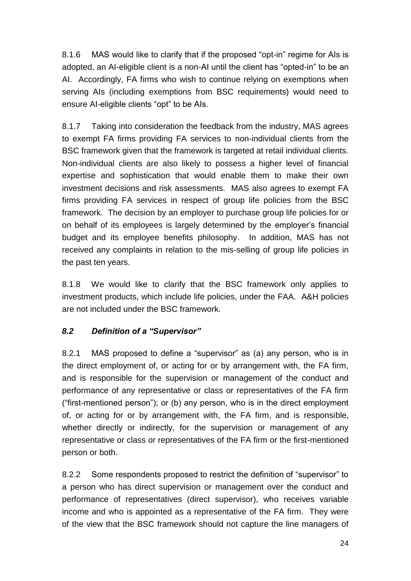8.1.6 MAS would like to clarify that if the proposed "opt-in" regime for AIs is adopted, an AI-eligible client is a non-AI until the client has "opted-in" to be an AI. Accordingly, FA firms who wish to continue relying on exemptions when serving AIs (including exemptions from BSC requirements) would need to ensure AI-eligible clients "opt" to be AIs.

8.1.7 Taking into consideration the feedback from the industry, MAS agrees to exempt FA firms providing FA services to non-individual clients from the BSC framework given that the framework is targeted at retail individual clients. Non-individual clients are also likely to possess a higher level of financial expertise and sophistication that would enable them to make their own investment decisions and risk assessments. MAS also agrees to exempt FA firms providing FA services in respect of group life policies from the BSC framework. The decision by an employer to purchase group life policies for or on behalf of its employees is largely determined by the employer's financial budget and its employee benefits philosophy. In addition, MAS has not received any complaints in relation to the mis-selling of group life policies in the past ten years.

8.1.8 We would like to clarify that the BSC framework only applies to investment products, which include life policies, under the FAA. A&H policies are not included under the BSC framework.

## *8.2 Definition of a "Supervisor"*

8.2.1 MAS proposed to define a "supervisor" as (a) any person, who is in the direct employment of, or acting for or by arrangement with, the FA firm, and is responsible for the supervision or management of the conduct and performance of any representative or class or representatives of the FA firm ("first-mentioned person"); or (b) any person, who is in the direct employment of, or acting for or by arrangement with, the FA firm, and is responsible, whether directly or indirectly, for the supervision or management of any representative or class or representatives of the FA firm or the first-mentioned person or both.

8.2.2 Some respondents proposed to restrict the definition of "supervisor" to a person who has direct supervision or management over the conduct and performance of representatives (direct supervisor), who receives variable income and who is appointed as a representative of the FA firm. They were of the view that the BSC framework should not capture the line managers of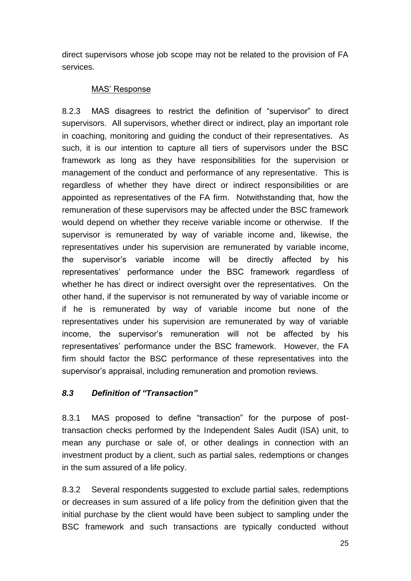direct supervisors whose job scope may not be related to the provision of FA services.

#### MAS' Response

8.2.3 MAS disagrees to restrict the definition of "supervisor" to direct supervisors. All supervisors, whether direct or indirect, play an important role in coaching, monitoring and guiding the conduct of their representatives. As such, it is our intention to capture all tiers of supervisors under the BSC framework as long as they have responsibilities for the supervision or management of the conduct and performance of any representative. This is regardless of whether they have direct or indirect responsibilities or are appointed as representatives of the FA firm. Notwithstanding that, how the remuneration of these supervisors may be affected under the BSC framework would depend on whether they receive variable income or otherwise. If the supervisor is remunerated by way of variable income and, likewise, the representatives under his supervision are remunerated by variable income, the supervisor's variable income will be directly affected by his representatives' performance under the BSC framework regardless of whether he has direct or indirect oversight over the representatives. On the other hand, if the supervisor is not remunerated by way of variable income or if he is remunerated by way of variable income but none of the representatives under his supervision are remunerated by way of variable income, the supervisor's remuneration will not be affected by his representatives' performance under the BSC framework. However, the FA firm should factor the BSC performance of these representatives into the supervisor's appraisal, including remuneration and promotion reviews.

## *8.3 Definition of "Transaction"*

8.3.1 MAS proposed to define "transaction" for the purpose of posttransaction checks performed by the Independent Sales Audit (ISA) unit, to mean any purchase or sale of, or other dealings in connection with an investment product by a client, such as partial sales, redemptions or changes in the sum assured of a life policy.

8.3.2 Several respondents suggested to exclude partial sales, redemptions or decreases in sum assured of a life policy from the definition given that the initial purchase by the client would have been subject to sampling under the BSC framework and such transactions are typically conducted without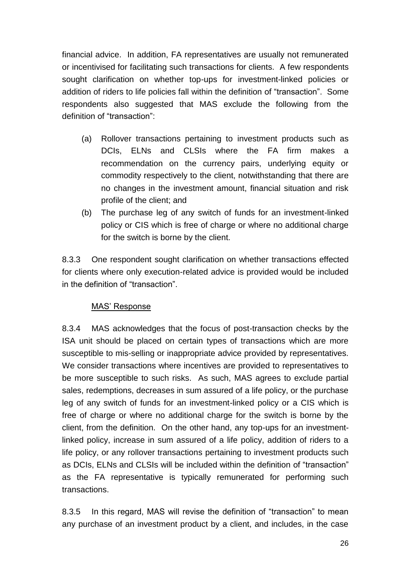financial advice. In addition, FA representatives are usually not remunerated or incentivised for facilitating such transactions for clients. A few respondents sought clarification on whether top-ups for investment-linked policies or addition of riders to life policies fall within the definition of "transaction". Some respondents also suggested that MAS exclude the following from the definition of "transaction":

- (a) Rollover transactions pertaining to investment products such as DCIs, ELNs and CLSIs where the FA firm makes a recommendation on the currency pairs, underlying equity or commodity respectively to the client, notwithstanding that there are no changes in the investment amount, financial situation and risk profile of the client; and
- (b) The purchase leg of any switch of funds for an investment-linked policy or CIS which is free of charge or where no additional charge for the switch is borne by the client.

8.3.3 One respondent sought clarification on whether transactions effected for clients where only execution-related advice is provided would be included in the definition of "transaction".

#### MAS' Response

8.3.4 MAS acknowledges that the focus of post-transaction checks by the ISA unit should be placed on certain types of transactions which are more susceptible to mis-selling or inappropriate advice provided by representatives. We consider transactions where incentives are provided to representatives to be more susceptible to such risks. As such, MAS agrees to exclude partial sales, redemptions, decreases in sum assured of a life policy, or the purchase leg of any switch of funds for an investment-linked policy or a CIS which is free of charge or where no additional charge for the switch is borne by the client, from the definition. On the other hand, any top-ups for an investmentlinked policy, increase in sum assured of a life policy, addition of riders to a life policy, or any rollover transactions pertaining to investment products such as DCIs, ELNs and CLSIs will be included within the definition of "transaction" as the FA representative is typically remunerated for performing such transactions.

8.3.5 In this regard, MAS will revise the definition of "transaction" to mean any purchase of an investment product by a client, and includes, in the case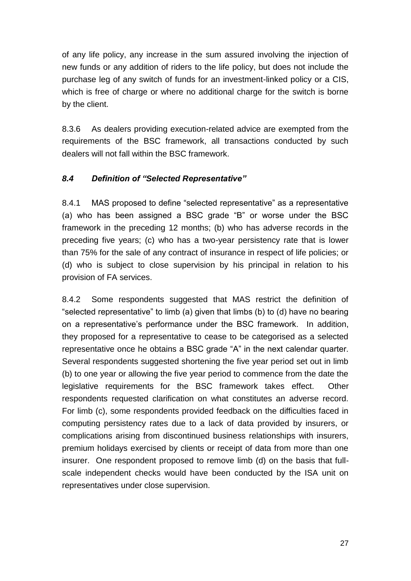of any life policy, any increase in the sum assured involving the injection of new funds or any addition of riders to the life policy, but does not include the purchase leg of any switch of funds for an investment-linked policy or a CIS, which is free of charge or where no additional charge for the switch is borne by the client.

8.3.6 As dealers providing execution-related advice are exempted from the requirements of the BSC framework, all transactions conducted by such dealers will not fall within the BSC framework.

### *8.4 Definition of "Selected Representative"*

8.4.1 MAS proposed to define "selected representative" as a representative (a) who has been assigned a BSC grade "B" or worse under the BSC framework in the preceding 12 months; (b) who has adverse records in the preceding five years; (c) who has a two-year persistency rate that is lower than 75% for the sale of any contract of insurance in respect of life policies; or (d) who is subject to close supervision by his principal in relation to his provision of FA services.

8.4.2 Some respondents suggested that MAS restrict the definition of "selected representative" to limb (a) given that limbs (b) to (d) have no bearing on a representative's performance under the BSC framework. In addition, they proposed for a representative to cease to be categorised as a selected representative once he obtains a BSC grade "A" in the next calendar quarter. Several respondents suggested shortening the five year period set out in limb (b) to one year or allowing the five year period to commence from the date the legislative requirements for the BSC framework takes effect. Other respondents requested clarification on what constitutes an adverse record. For limb (c), some respondents provided feedback on the difficulties faced in computing persistency rates due to a lack of data provided by insurers, or complications arising from discontinued business relationships with insurers, premium holidays exercised by clients or receipt of data from more than one insurer. One respondent proposed to remove limb (d) on the basis that fullscale independent checks would have been conducted by the ISA unit on representatives under close supervision.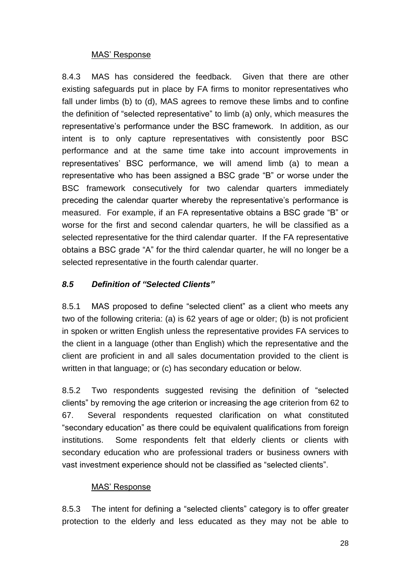#### MAS' Response

8.4.3 MAS has considered the feedback. Given that there are other existing safeguards put in place by FA firms to monitor representatives who fall under limbs (b) to (d), MAS agrees to remove these limbs and to confine the definition of "selected representative" to limb (a) only, which measures the representative's performance under the BSC framework. In addition, as our intent is to only capture representatives with consistently poor BSC performance and at the same time take into account improvements in representatives' BSC performance, we will amend limb (a) to mean a representative who has been assigned a BSC grade "B" or worse under the BSC framework consecutively for two calendar quarters immediately preceding the calendar quarter whereby the representative's performance is measured. For example, if an FA representative obtains a BSC grade "B" or worse for the first and second calendar quarters, he will be classified as a selected representative for the third calendar quarter. If the FA representative obtains a BSC grade "A" for the third calendar quarter, he will no longer be a selected representative in the fourth calendar quarter.

## *8.5 Definition of "Selected Clients"*

8.5.1 MAS proposed to define "selected client" as a client who meets any two of the following criteria: (a) is 62 years of age or older; (b) is not proficient in spoken or written English unless the representative provides FA services to the client in a language (other than English) which the representative and the client are proficient in and all sales documentation provided to the client is written in that language; or (c) has secondary education or below.

8.5.2 Two respondents suggested revising the definition of "selected clients" by removing the age criterion or increasing the age criterion from 62 to 67. Several respondents requested clarification on what constituted "secondary education" as there could be equivalent qualifications from foreign institutions. Some respondents felt that elderly clients or clients with secondary education who are professional traders or business owners with vast investment experience should not be classified as "selected clients".

#### MAS' Response

8.5.3 The intent for defining a "selected clients" category is to offer greater protection to the elderly and less educated as they may not be able to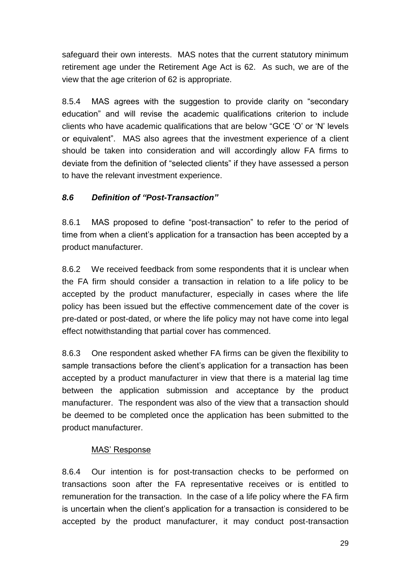safeguard their own interests. MAS notes that the current statutory minimum retirement age under the Retirement Age Act is 62. As such, we are of the view that the age criterion of 62 is appropriate.

8.5.4 MAS agrees with the suggestion to provide clarity on "secondary education" and will revise the academic qualifications criterion to include clients who have academic qualifications that are below "GCE 'O' or 'N' levels or equivalent". MAS also agrees that the investment experience of a client should be taken into consideration and will accordingly allow FA firms to deviate from the definition of "selected clients" if they have assessed a person to have the relevant investment experience.

# *8.6 Definition of "Post-Transaction"*

8.6.1 MAS proposed to define "post-transaction" to refer to the period of time from when a client's application for a transaction has been accepted by a product manufacturer.

8.6.2 We received feedback from some respondents that it is unclear when the FA firm should consider a transaction in relation to a life policy to be accepted by the product manufacturer, especially in cases where the life policy has been issued but the effective commencement date of the cover is pre-dated or post-dated, or where the life policy may not have come into legal effect notwithstanding that partial cover has commenced.

8.6.3 One respondent asked whether FA firms can be given the flexibility to sample transactions before the client's application for a transaction has been accepted by a product manufacturer in view that there is a material lag time between the application submission and acceptance by the product manufacturer. The respondent was also of the view that a transaction should be deemed to be completed once the application has been submitted to the product manufacturer.

## MAS' Response

8.6.4 Our intention is for post-transaction checks to be performed on transactions soon after the FA representative receives or is entitled to remuneration for the transaction. In the case of a life policy where the FA firm is uncertain when the client's application for a transaction is considered to be accepted by the product manufacturer, it may conduct post-transaction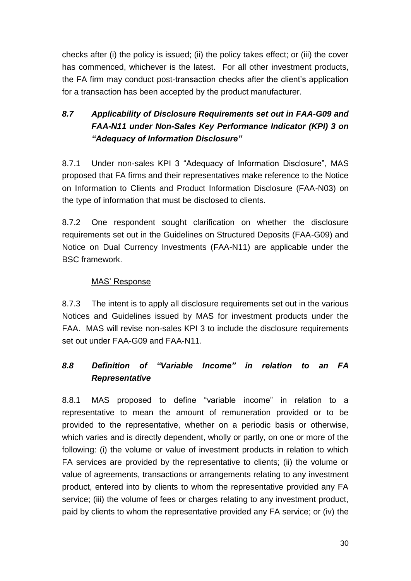checks after (i) the policy is issued; (ii) the policy takes effect; or (iii) the cover has commenced, whichever is the latest. For all other investment products, the FA firm may conduct post-transaction checks after the client's application for a transaction has been accepted by the product manufacturer.

# *8.7 Applicability of Disclosure Requirements set out in FAA-G09 and FAA-N11 under Non-Sales Key Performance Indicator (KPI) 3 on "Adequacy of Information Disclosure"*

8.7.1 Under non-sales KPI 3 "Adequacy of Information Disclosure", MAS proposed that FA firms and their representatives make reference to the Notice on Information to Clients and Product Information Disclosure (FAA-N03) on the type of information that must be disclosed to clients.

8.7.2 One respondent sought clarification on whether the disclosure requirements set out in the Guidelines on Structured Deposits (FAA-G09) and Notice on Dual Currency Investments (FAA-N11) are applicable under the BSC framework.

## MAS' Response

8.7.3 The intent is to apply all disclosure requirements set out in the various Notices and Guidelines issued by MAS for investment products under the FAA. MAS will revise non-sales KPI 3 to include the disclosure requirements set out under FAA-G09 and FAA-N11.

# *8.8 Definition of "Variable Income" in relation to an FA Representative*

8.8.1 MAS proposed to define "variable income" in relation to a representative to mean the amount of remuneration provided or to be provided to the representative, whether on a periodic basis or otherwise, which varies and is directly dependent, wholly or partly, on one or more of the following: (i) the volume or value of investment products in relation to which FA services are provided by the representative to clients; (ii) the volume or value of agreements, transactions or arrangements relating to any investment product, entered into by clients to whom the representative provided any FA service; (iii) the volume of fees or charges relating to any investment product, paid by clients to whom the representative provided any FA service; or (iv) the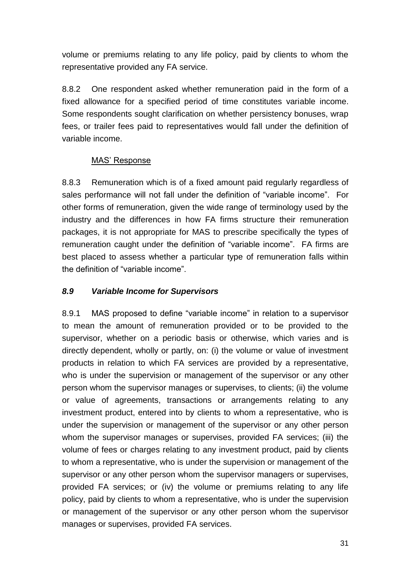volume or premiums relating to any life policy, paid by clients to whom the representative provided any FA service.

8.8.2 One respondent asked whether remuneration paid in the form of a fixed allowance for a specified period of time constitutes variable income. Some respondents sought clarification on whether persistency bonuses, wrap fees, or trailer fees paid to representatives would fall under the definition of variable income.

### MAS' Response

8.8.3 Remuneration which is of a fixed amount paid regularly regardless of sales performance will not fall under the definition of "variable income". For other forms of remuneration, given the wide range of terminology used by the industry and the differences in how FA firms structure their remuneration packages, it is not appropriate for MAS to prescribe specifically the types of remuneration caught under the definition of "variable income". FA firms are best placed to assess whether a particular type of remuneration falls within the definition of "variable income".

#### *8.9 Variable Income for Supervisors*

8.9.1 MAS proposed to define "variable income" in relation to a supervisor to mean the amount of remuneration provided or to be provided to the supervisor, whether on a periodic basis or otherwise, which varies and is directly dependent, wholly or partly, on: (i) the volume or value of investment products in relation to which FA services are provided by a representative, who is under the supervision or management of the supervisor or any other person whom the supervisor manages or supervises, to clients; (ii) the volume or value of agreements, transactions or arrangements relating to any investment product, entered into by clients to whom a representative, who is under the supervision or management of the supervisor or any other person whom the supervisor manages or supervises, provided FA services; (iii) the volume of fees or charges relating to any investment product, paid by clients to whom a representative, who is under the supervision or management of the supervisor or any other person whom the supervisor managers or supervises, provided FA services; or (iv) the volume or premiums relating to any life policy, paid by clients to whom a representative, who is under the supervision or management of the supervisor or any other person whom the supervisor manages or supervises, provided FA services.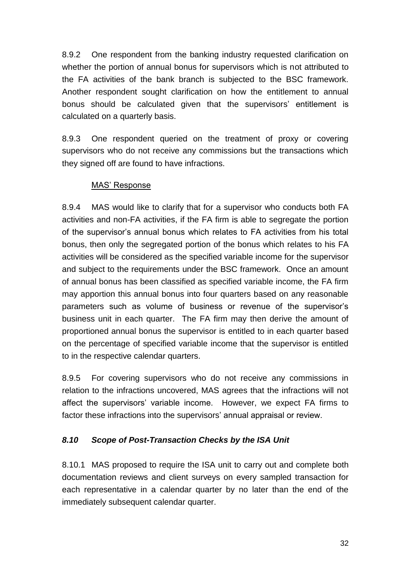8.9.2 One respondent from the banking industry requested clarification on whether the portion of annual bonus for supervisors which is not attributed to the FA activities of the bank branch is subjected to the BSC framework. Another respondent sought clarification on how the entitlement to annual bonus should be calculated given that the supervisors' entitlement is calculated on a quarterly basis.

8.9.3 One respondent queried on the treatment of proxy or covering supervisors who do not receive any commissions but the transactions which they signed off are found to have infractions.

#### MAS' Response

8.9.4 MAS would like to clarify that for a supervisor who conducts both FA activities and non-FA activities, if the FA firm is able to segregate the portion of the supervisor's annual bonus which relates to FA activities from his total bonus, then only the segregated portion of the bonus which relates to his FA activities will be considered as the specified variable income for the supervisor and subject to the requirements under the BSC framework. Once an amount of annual bonus has been classified as specified variable income, the FA firm may apportion this annual bonus into four quarters based on any reasonable parameters such as volume of business or revenue of the supervisor's business unit in each quarter. The FA firm may then derive the amount of proportioned annual bonus the supervisor is entitled to in each quarter based on the percentage of specified variable income that the supervisor is entitled to in the respective calendar quarters.

8.9.5 For covering supervisors who do not receive any commissions in relation to the infractions uncovered, MAS agrees that the infractions will not affect the supervisors' variable income. However, we expect FA firms to factor these infractions into the supervisors' annual appraisal or review.

## *8.10 Scope of Post-Transaction Checks by the ISA Unit*

8.10.1 MAS proposed to require the ISA unit to carry out and complete both documentation reviews and client surveys on every sampled transaction for each representative in a calendar quarter by no later than the end of the immediately subsequent calendar quarter.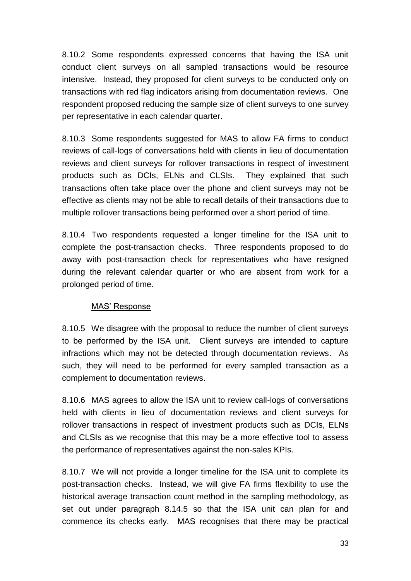8.10.2 Some respondents expressed concerns that having the ISA unit conduct client surveys on all sampled transactions would be resource intensive. Instead, they proposed for client surveys to be conducted only on transactions with red flag indicators arising from documentation reviews. One respondent proposed reducing the sample size of client surveys to one survey per representative in each calendar quarter.

8.10.3 Some respondents suggested for MAS to allow FA firms to conduct reviews of call-logs of conversations held with clients in lieu of documentation reviews and client surveys for rollover transactions in respect of investment products such as DCIs, ELNs and CLSIs. They explained that such transactions often take place over the phone and client surveys may not be effective as clients may not be able to recall details of their transactions due to multiple rollover transactions being performed over a short period of time.

8.10.4 Two respondents requested a longer timeline for the ISA unit to complete the post-transaction checks. Three respondents proposed to do away with post-transaction check for representatives who have resigned during the relevant calendar quarter or who are absent from work for a prolonged period of time.

#### MAS' Response

8.10.5 We disagree with the proposal to reduce the number of client surveys to be performed by the ISA unit. Client surveys are intended to capture infractions which may not be detected through documentation reviews. As such, they will need to be performed for every sampled transaction as a complement to documentation reviews.

8.10.6 MAS agrees to allow the ISA unit to review call-logs of conversations held with clients in lieu of documentation reviews and client surveys for rollover transactions in respect of investment products such as DCIs, ELNs and CLSIs as we recognise that this may be a more effective tool to assess the performance of representatives against the non-sales KPIs.

8.10.7 We will not provide a longer timeline for the ISA unit to complete its post-transaction checks. Instead, we will give FA firms flexibility to use the historical average transaction count method in the sampling methodology, as set out under paragraph 8.14.5 so that the ISA unit can plan for and commence its checks early. MAS recognises that there may be practical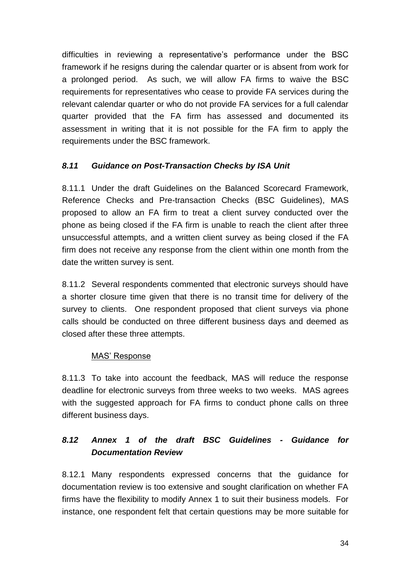difficulties in reviewing a representative's performance under the BSC framework if he resigns during the calendar quarter or is absent from work for a prolonged period. As such, we will allow FA firms to waive the BSC requirements for representatives who cease to provide FA services during the relevant calendar quarter or who do not provide FA services for a full calendar quarter provided that the FA firm has assessed and documented its assessment in writing that it is not possible for the FA firm to apply the requirements under the BSC framework.

### *8.11 Guidance on Post-Transaction Checks by ISA Unit*

8.11.1 Under the draft Guidelines on the Balanced Scorecard Framework, Reference Checks and Pre-transaction Checks (BSC Guidelines), MAS proposed to allow an FA firm to treat a client survey conducted over the phone as being closed if the FA firm is unable to reach the client after three unsuccessful attempts, and a written client survey as being closed if the FA firm does not receive any response from the client within one month from the date the written survey is sent.

8.11.2 Several respondents commented that electronic surveys should have a shorter closure time given that there is no transit time for delivery of the survey to clients. One respondent proposed that client surveys via phone calls should be conducted on three different business days and deemed as closed after these three attempts.

#### MAS' Response

8.11.3 To take into account the feedback, MAS will reduce the response deadline for electronic surveys from three weeks to two weeks. MAS agrees with the suggested approach for FA firms to conduct phone calls on three different business days.

# *8.12 Annex 1 of the draft BSC Guidelines - Guidance for Documentation Review*

8.12.1 Many respondents expressed concerns that the guidance for documentation review is too extensive and sought clarification on whether FA firms have the flexibility to modify Annex 1 to suit their business models. For instance, one respondent felt that certain questions may be more suitable for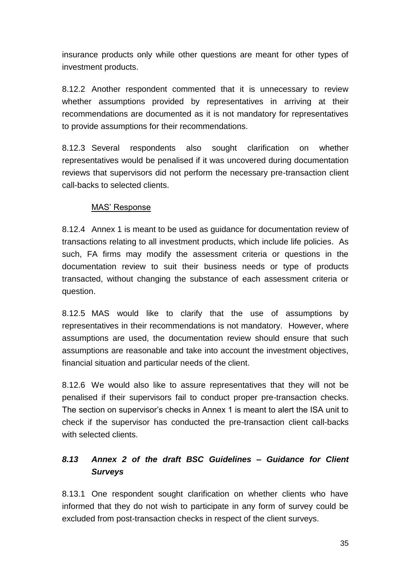insurance products only while other questions are meant for other types of investment products.

8.12.2 Another respondent commented that it is unnecessary to review whether assumptions provided by representatives in arriving at their recommendations are documented as it is not mandatory for representatives to provide assumptions for their recommendations.

8.12.3 Several respondents also sought clarification on whether representatives would be penalised if it was uncovered during documentation reviews that supervisors did not perform the necessary pre-transaction client call-backs to selected clients.

#### MAS' Response

8.12.4 Annex 1 is meant to be used as guidance for documentation review of transactions relating to all investment products, which include life policies. As such, FA firms may modify the assessment criteria or questions in the documentation review to suit their business needs or type of products transacted, without changing the substance of each assessment criteria or question.

8.12.5 MAS would like to clarify that the use of assumptions by representatives in their recommendations is not mandatory. However, where assumptions are used, the documentation review should ensure that such assumptions are reasonable and take into account the investment objectives, financial situation and particular needs of the client.

8.12.6 We would also like to assure representatives that they will not be penalised if their supervisors fail to conduct proper pre-transaction checks. The section on supervisor's checks in Annex 1 is meant to alert the ISA unit to check if the supervisor has conducted the pre-transaction client call-backs with selected clients.

# *8.13 Annex 2 of the draft BSC Guidelines – Guidance for Client Surveys*

8.13.1 One respondent sought clarification on whether clients who have informed that they do not wish to participate in any form of survey could be excluded from post-transaction checks in respect of the client surveys.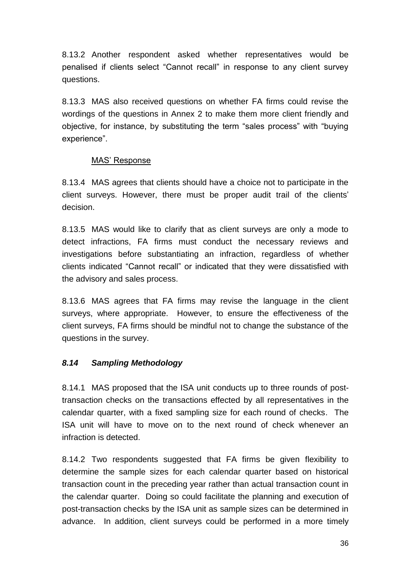8.13.2 Another respondent asked whether representatives would be penalised if clients select "Cannot recall" in response to any client survey questions.

8.13.3 MAS also received questions on whether FA firms could revise the wordings of the questions in Annex 2 to make them more client friendly and objective, for instance, by substituting the term "sales process" with "buying experience".

### MAS' Response

8.13.4 MAS agrees that clients should have a choice not to participate in the client surveys. However, there must be proper audit trail of the clients' decision.

8.13.5 MAS would like to clarify that as client surveys are only a mode to detect infractions, FA firms must conduct the necessary reviews and investigations before substantiating an infraction, regardless of whether clients indicated "Cannot recall" or indicated that they were dissatisfied with the advisory and sales process.

8.13.6 MAS agrees that FA firms may revise the language in the client surveys, where appropriate. However, to ensure the effectiveness of the client surveys, FA firms should be mindful not to change the substance of the questions in the survey.

## *8.14 Sampling Methodology*

8.14.1 MAS proposed that the ISA unit conducts up to three rounds of posttransaction checks on the transactions effected by all representatives in the calendar quarter, with a fixed sampling size for each round of checks. The ISA unit will have to move on to the next round of check whenever an infraction is detected.

8.14.2 Two respondents suggested that FA firms be given flexibility to determine the sample sizes for each calendar quarter based on historical transaction count in the preceding year rather than actual transaction count in the calendar quarter. Doing so could facilitate the planning and execution of post-transaction checks by the ISA unit as sample sizes can be determined in advance. In addition, client surveys could be performed in a more timely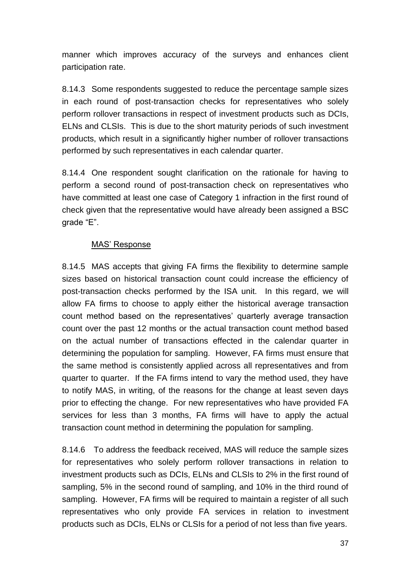manner which improves accuracy of the surveys and enhances client participation rate.

8.14.3 Some respondents suggested to reduce the percentage sample sizes in each round of post-transaction checks for representatives who solely perform rollover transactions in respect of investment products such as DCIs, ELNs and CLSIs. This is due to the short maturity periods of such investment products, which result in a significantly higher number of rollover transactions performed by such representatives in each calendar quarter.

8.14.4 One respondent sought clarification on the rationale for having to perform a second round of post-transaction check on representatives who have committed at least one case of Category 1 infraction in the first round of check given that the representative would have already been assigned a BSC grade "E".

#### MAS' Response

8.14.5 MAS accepts that giving FA firms the flexibility to determine sample sizes based on historical transaction count could increase the efficiency of post-transaction checks performed by the ISA unit. In this regard, we will allow FA firms to choose to apply either the historical average transaction count method based on the representatives' quarterly average transaction count over the past 12 months or the actual transaction count method based on the actual number of transactions effected in the calendar quarter in determining the population for sampling. However, FA firms must ensure that the same method is consistently applied across all representatives and from quarter to quarter. If the FA firms intend to vary the method used, they have to notify MAS, in writing, of the reasons for the change at least seven days prior to effecting the change. For new representatives who have provided FA services for less than 3 months, FA firms will have to apply the actual transaction count method in determining the population for sampling.

8.14.6 To address the feedback received, MAS will reduce the sample sizes for representatives who solely perform rollover transactions in relation to investment products such as DCIs, ELNs and CLSIs to 2% in the first round of sampling, 5% in the second round of sampling, and 10% in the third round of sampling. However, FA firms will be required to maintain a register of all such representatives who only provide FA services in relation to investment products such as DCIs, ELNs or CLSIs for a period of not less than five years.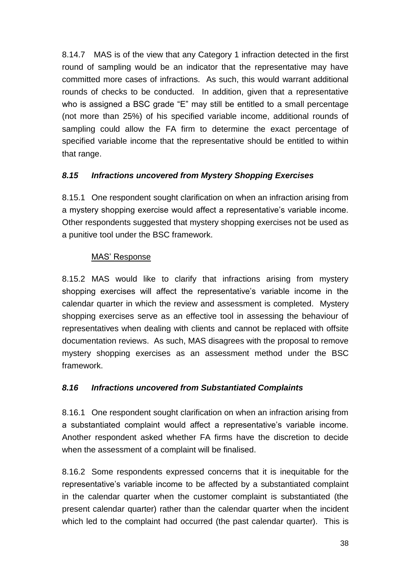8.14.7 MAS is of the view that any Category 1 infraction detected in the first round of sampling would be an indicator that the representative may have committed more cases of infractions. As such, this would warrant additional rounds of checks to be conducted. In addition, given that a representative who is assigned a BSC grade "E" may still be entitled to a small percentage (not more than 25%) of his specified variable income, additional rounds of sampling could allow the FA firm to determine the exact percentage of specified variable income that the representative should be entitled to within that range.

## *8.15 Infractions uncovered from Mystery Shopping Exercises*

8.15.1 One respondent sought clarification on when an infraction arising from a mystery shopping exercise would affect a representative's variable income. Other respondents suggested that mystery shopping exercises not be used as a punitive tool under the BSC framework.

#### MAS' Response

8.15.2 MAS would like to clarify that infractions arising from mystery shopping exercises will affect the representative's variable income in the calendar quarter in which the review and assessment is completed. Mystery shopping exercises serve as an effective tool in assessing the behaviour of representatives when dealing with clients and cannot be replaced with offsite documentation reviews. As such, MAS disagrees with the proposal to remove mystery shopping exercises as an assessment method under the BSC framework.

#### *8.16 Infractions uncovered from Substantiated Complaints*

8.16.1 One respondent sought clarification on when an infraction arising from a substantiated complaint would affect a representative's variable income. Another respondent asked whether FA firms have the discretion to decide when the assessment of a complaint will be finalised.

8.16.2 Some respondents expressed concerns that it is inequitable for the representative's variable income to be affected by a substantiated complaint in the calendar quarter when the customer complaint is substantiated (the present calendar quarter) rather than the calendar quarter when the incident which led to the complaint had occurred (the past calendar quarter). This is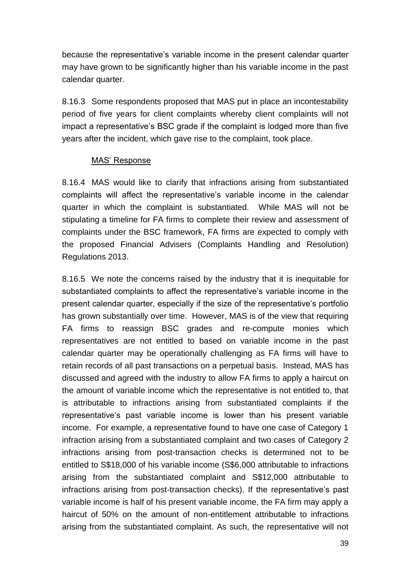because the representative's variable income in the present calendar quarter may have grown to be significantly higher than his variable income in the past calendar quarter.

8.16.3 Some respondents proposed that MAS put in place an incontestability period of five years for client complaints whereby client complaints will not impact a representative's BSC grade if the complaint is lodged more than five years after the incident, which gave rise to the complaint, took place.

#### MAS' Response

8.16.4 MAS would like to clarify that infractions arising from substantiated complaints will affect the representative's variable income in the calendar quarter in which the complaint is substantiated. While MAS will not be stipulating a timeline for FA firms to complete their review and assessment of complaints under the BSC framework, FA firms are expected to comply with the proposed Financial Advisers (Complaints Handling and Resolution) Regulations 2013.

8.16.5 We note the concerns raised by the industry that it is inequitable for substantiated complaints to affect the representative's variable income in the present calendar quarter, especially if the size of the representative's portfolio has grown substantially over time. However, MAS is of the view that requiring FA firms to reassign BSC grades and re-compute monies which representatives are not entitled to based on variable income in the past calendar quarter may be operationally challenging as FA firms will have to retain records of all past transactions on a perpetual basis. Instead, MAS has discussed and agreed with the industry to allow FA firms to apply a haircut on the amount of variable income which the representative is not entitled to, that is attributable to infractions arising from substantiated complaints if the representative's past variable income is lower than his present variable income. For example, a representative found to have one case of Category 1 infraction arising from a substantiated complaint and two cases of Category 2 infractions arising from post-transaction checks is determined not to be entitled to S\$18,000 of his variable income (S\$6,000 attributable to infractions arising from the substantiated complaint and S\$12,000 attributable to infractions arising from post-transaction checks). If the representative's past variable income is half of his present variable income, the FA firm may apply a haircut of 50% on the amount of non-entitlement attributable to infractions arising from the substantiated complaint. As such, the representative will not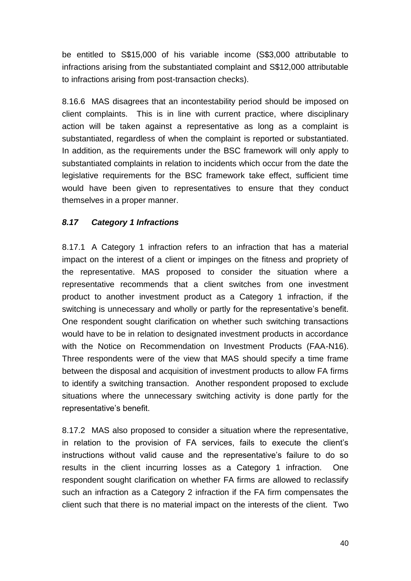be entitled to S\$15,000 of his variable income (S\$3,000 attributable to infractions arising from the substantiated complaint and S\$12,000 attributable to infractions arising from post-transaction checks).

8.16.6 MAS disagrees that an incontestability period should be imposed on client complaints. This is in line with current practice, where disciplinary action will be taken against a representative as long as a complaint is substantiated, regardless of when the complaint is reported or substantiated. In addition, as the requirements under the BSC framework will only apply to substantiated complaints in relation to incidents which occur from the date the legislative requirements for the BSC framework take effect, sufficient time would have been given to representatives to ensure that they conduct themselves in a proper manner.

## *8.17 Category 1 Infractions*

8.17.1 A Category 1 infraction refers to an infraction that has a material impact on the interest of a client or impinges on the fitness and propriety of the representative. MAS proposed to consider the situation where a representative recommends that a client switches from one investment product to another investment product as a Category 1 infraction, if the switching is unnecessary and wholly or partly for the representative's benefit. One respondent sought clarification on whether such switching transactions would have to be in relation to designated investment products in accordance with the Notice on Recommendation on Investment Products (FAA-N16). Three respondents were of the view that MAS should specify a time frame between the disposal and acquisition of investment products to allow FA firms to identify a switching transaction. Another respondent proposed to exclude situations where the unnecessary switching activity is done partly for the representative's benefit.

8.17.2 MAS also proposed to consider a situation where the representative, in relation to the provision of FA services, fails to execute the client's instructions without valid cause and the representative's failure to do so results in the client incurring losses as a Category 1 infraction. One respondent sought clarification on whether FA firms are allowed to reclassify such an infraction as a Category 2 infraction if the FA firm compensates the client such that there is no material impact on the interests of the client. Two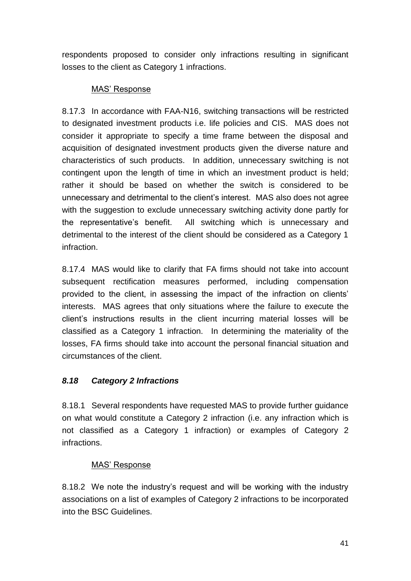respondents proposed to consider only infractions resulting in significant losses to the client as Category 1 infractions.

### MAS' Response

8.17.3 In accordance with FAA-N16, switching transactions will be restricted to designated investment products i.e. life policies and CIS. MAS does not consider it appropriate to specify a time frame between the disposal and acquisition of designated investment products given the diverse nature and characteristics of such products. In addition, unnecessary switching is not contingent upon the length of time in which an investment product is held; rather it should be based on whether the switch is considered to be unnecessary and detrimental to the client's interest. MAS also does not agree with the suggestion to exclude unnecessary switching activity done partly for the representative's benefit. All switching which is unnecessary and detrimental to the interest of the client should be considered as a Category 1 infraction.

8.17.4 MAS would like to clarify that FA firms should not take into account subsequent rectification measures performed, including compensation provided to the client, in assessing the impact of the infraction on clients' interests. MAS agrees that only situations where the failure to execute the client's instructions results in the client incurring material losses will be classified as a Category 1 infraction. In determining the materiality of the losses, FA firms should take into account the personal financial situation and circumstances of the client.

## *8.18 Category 2 Infractions*

8.18.1 Several respondents have requested MAS to provide further guidance on what would constitute a Category 2 infraction (i.e. any infraction which is not classified as a Category 1 infraction) or examples of Category 2 infractions.

## MAS' Response

8.18.2 We note the industry's request and will be working with the industry associations on a list of examples of Category 2 infractions to be incorporated into the BSC Guidelines.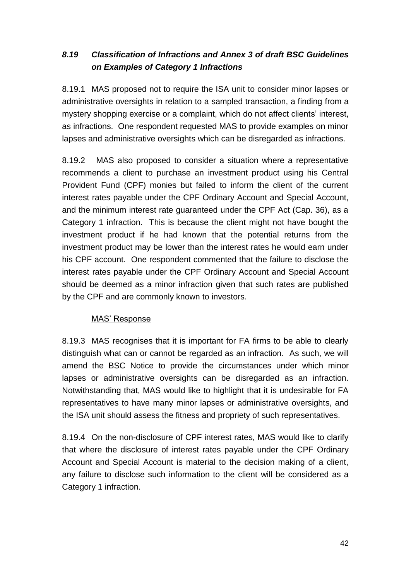# *8.19 Classification of Infractions and Annex 3 of draft BSC Guidelines on Examples of Category 1 Infractions*

8.19.1 MAS proposed not to require the ISA unit to consider minor lapses or administrative oversights in relation to a sampled transaction, a finding from a mystery shopping exercise or a complaint, which do not affect clients' interest, as infractions. One respondent requested MAS to provide examples on minor lapses and administrative oversights which can be disregarded as infractions.

8.19.2 MAS also proposed to consider a situation where a representative recommends a client to purchase an investment product using his Central Provident Fund (CPF) monies but failed to inform the client of the current interest rates payable under the CPF Ordinary Account and Special Account, and the minimum interest rate guaranteed under the CPF Act (Cap. 36), as a Category 1 infraction. This is because the client might not have bought the investment product if he had known that the potential returns from the investment product may be lower than the interest rates he would earn under his CPF account. One respondent commented that the failure to disclose the interest rates payable under the CPF Ordinary Account and Special Account should be deemed as a minor infraction given that such rates are published by the CPF and are commonly known to investors.

#### MAS' Response

8.19.3 MAS recognises that it is important for FA firms to be able to clearly distinguish what can or cannot be regarded as an infraction. As such, we will amend the BSC Notice to provide the circumstances under which minor lapses or administrative oversights can be disregarded as an infraction. Notwithstanding that, MAS would like to highlight that it is undesirable for FA representatives to have many minor lapses or administrative oversights, and the ISA unit should assess the fitness and propriety of such representatives.

8.19.4 On the non-disclosure of CPF interest rates, MAS would like to clarify that where the disclosure of interest rates payable under the CPF Ordinary Account and Special Account is material to the decision making of a client, any failure to disclose such information to the client will be considered as a Category 1 infraction.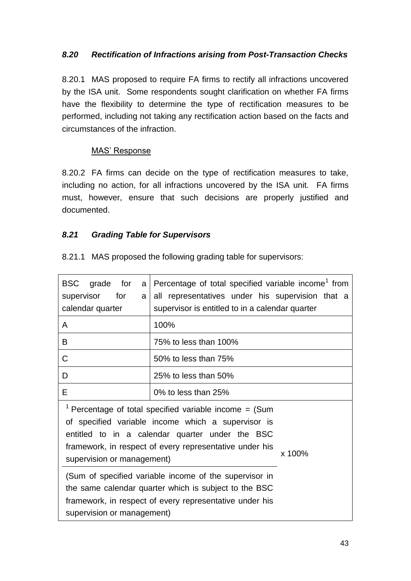### *8.20 Rectification of Infractions arising from Post-Transaction Checks*

8.20.1 MAS proposed to require FA firms to rectify all infractions uncovered by the ISA unit. Some respondents sought clarification on whether FA firms have the flexibility to determine the type of rectification measures to be performed, including not taking any rectification action based on the facts and circumstances of the infraction.

#### MAS' Response

8.20.2 FA firms can decide on the type of rectification measures to take, including no action, for all infractions uncovered by the ISA unit. FA firms must, however, ensure that such decisions are properly justified and documented.

### *8.21 Grading Table for Supervisors*

| BSC grade for<br>a<br>supervisor<br>for<br>a<br>calendar quarter                                                                                                                                                                                                                 | Percentage of total specified variable income <sup>1</sup> from<br>all representatives under his supervision that a<br>supervisor is entitled to in a calendar quarter |  |
|----------------------------------------------------------------------------------------------------------------------------------------------------------------------------------------------------------------------------------------------------------------------------------|------------------------------------------------------------------------------------------------------------------------------------------------------------------------|--|
| A                                                                                                                                                                                                                                                                                | 100%                                                                                                                                                                   |  |
| B                                                                                                                                                                                                                                                                                | 75% to less than 100%                                                                                                                                                  |  |
| С                                                                                                                                                                                                                                                                                | 50% to less than 75%                                                                                                                                                   |  |
| D                                                                                                                                                                                                                                                                                | 25% to less than 50%                                                                                                                                                   |  |
| Е                                                                                                                                                                                                                                                                                | 0% to less than 25%                                                                                                                                                    |  |
| <sup>1</sup> Percentage of total specified variable income = $(Sum)$<br>of specified variable income which a supervisor is<br>entitled to in a calendar quarter under the BSC<br>framework, in respect of every representative under his<br>x 100%<br>supervision or management) |                                                                                                                                                                        |  |
| (Sum of specified variable income of the supervisor in<br>the same calendar quarter which is subject to the BSC<br>framework, in respect of every representative under his<br>supervision or management)                                                                         |                                                                                                                                                                        |  |

8.21.1 MAS proposed the following grading table for supervisors: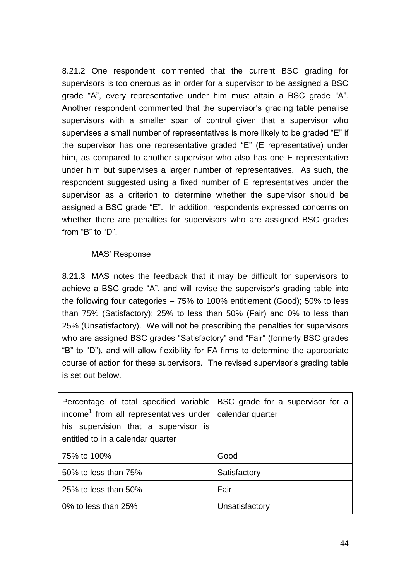8.21.2 One respondent commented that the current BSC grading for supervisors is too onerous as in order for a supervisor to be assigned a BSC grade "A", every representative under him must attain a BSC grade "A". Another respondent commented that the supervisor's grading table penalise supervisors with a smaller span of control given that a supervisor who supervises a small number of representatives is more likely to be graded "E" if the supervisor has one representative graded "E" (E representative) under him, as compared to another supervisor who also has one E representative under him but supervises a larger number of representatives. As such, the respondent suggested using a fixed number of E representatives under the supervisor as a criterion to determine whether the supervisor should be assigned a BSC grade "E". In addition, respondents expressed concerns on whether there are penalties for supervisors who are assigned BSC grades from "B" to "D".

#### MAS' Response

8.21.3 MAS notes the feedback that it may be difficult for supervisors to achieve a BSC grade "A", and will revise the supervisor's grading table into the following four categories – 75% to 100% entitlement (Good); 50% to less than 75% (Satisfactory); 25% to less than 50% (Fair) and 0% to less than 25% (Unsatisfactory). We will not be prescribing the penalties for supervisors who are assigned BSC grades "Satisfactory" and "Fair" (formerly BSC grades "B" to "D"), and will allow flexibility for FA firms to determine the appropriate course of action for these supervisors. The revised supervisor's grading table is set out below.

| Percentage of total specified variable   BSC grade for a supervisor for a<br>income <sup>1</sup> from all representatives under $\vert$ calendar quarter<br>his supervision that a supervisor is<br>entitled to in a calendar quarter |                |
|---------------------------------------------------------------------------------------------------------------------------------------------------------------------------------------------------------------------------------------|----------------|
|                                                                                                                                                                                                                                       |                |
| 75% to 100%                                                                                                                                                                                                                           | Good           |
| 50% to less than 75%                                                                                                                                                                                                                  | Satisfactory   |
| 25% to less than 50%                                                                                                                                                                                                                  | Fair           |
| 0% to less than 25%                                                                                                                                                                                                                   | Unsatisfactory |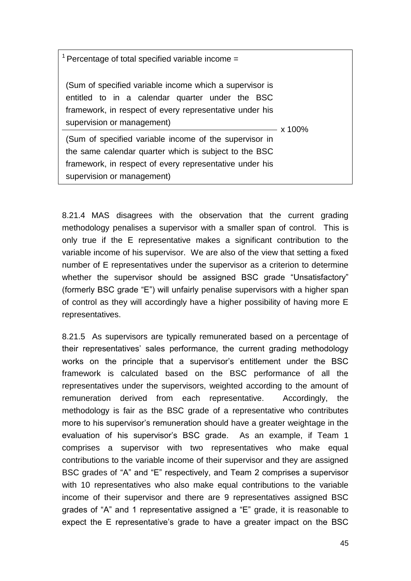$1$  Percentage of total specified variable income = (Sum of specified variable income which a supervisor is entitled to in a calendar quarter under the BSC framework, in respect of every representative under his supervision or management) x 100% (Sum of specified variable income of the supervisor in the same calendar quarter which is subject to the BSC framework, in respect of every representative under his supervision or management)

8.21.4 MAS disagrees with the observation that the current grading methodology penalises a supervisor with a smaller span of control. This is only true if the E representative makes a significant contribution to the variable income of his supervisor. We are also of the view that setting a fixed number of E representatives under the supervisor as a criterion to determine whether the supervisor should be assigned BSC grade "Unsatisfactory" (formerly BSC grade "E") will unfairly penalise supervisors with a higher span of control as they will accordingly have a higher possibility of having more E representatives.

8.21.5 As supervisors are typically remunerated based on a percentage of their representatives' sales performance, the current grading methodology works on the principle that a supervisor's entitlement under the BSC framework is calculated based on the BSC performance of all the representatives under the supervisors, weighted according to the amount of remuneration derived from each representative. Accordingly, the methodology is fair as the BSC grade of a representative who contributes more to his supervisor's remuneration should have a greater weightage in the evaluation of his supervisor's BSC grade. As an example, if Team 1 comprises a supervisor with two representatives who make equal contributions to the variable income of their supervisor and they are assigned BSC grades of "A" and "E" respectively, and Team 2 comprises a supervisor with 10 representatives who also make equal contributions to the variable income of their supervisor and there are 9 representatives assigned BSC grades of "A" and 1 representative assigned a "E" grade, it is reasonable to expect the E representative's grade to have a greater impact on the BSC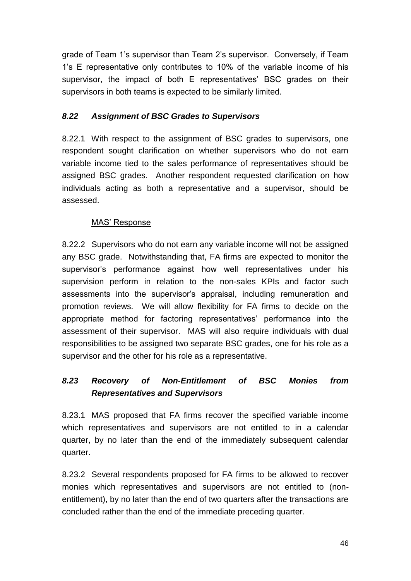grade of Team 1's supervisor than Team 2's supervisor. Conversely, if Team 1's E representative only contributes to 10% of the variable income of his supervisor, the impact of both E representatives' BSC grades on their supervisors in both teams is expected to be similarly limited.

### *8.22 Assignment of BSC Grades to Supervisors*

8.22.1 With respect to the assignment of BSC grades to supervisors, one respondent sought clarification on whether supervisors who do not earn variable income tied to the sales performance of representatives should be assigned BSC grades. Another respondent requested clarification on how individuals acting as both a representative and a supervisor, should be assessed.

#### MAS' Response

8.22.2 Supervisors who do not earn any variable income will not be assigned any BSC grade. Notwithstanding that, FA firms are expected to monitor the supervisor's performance against how well representatives under his supervision perform in relation to the non-sales KPIs and factor such assessments into the supervisor's appraisal, including remuneration and promotion reviews. We will allow flexibility for FA firms to decide on the appropriate method for factoring representatives' performance into the assessment of their supervisor. MAS will also require individuals with dual responsibilities to be assigned two separate BSC grades, one for his role as a supervisor and the other for his role as a representative.

# *8.23 Recovery of Non-Entitlement of BSC Monies from Representatives and Supervisors*

8.23.1 MAS proposed that FA firms recover the specified variable income which representatives and supervisors are not entitled to in a calendar quarter, by no later than the end of the immediately subsequent calendar quarter.

8.23.2 Several respondents proposed for FA firms to be allowed to recover monies which representatives and supervisors are not entitled to (nonentitlement), by no later than the end of two quarters after the transactions are concluded rather than the end of the immediate preceding quarter.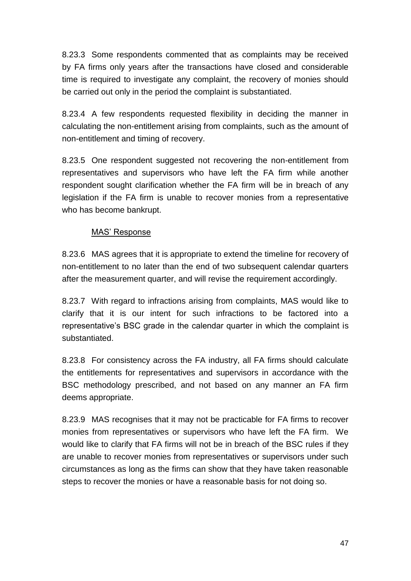8.23.3 Some respondents commented that as complaints may be received by FA firms only years after the transactions have closed and considerable time is required to investigate any complaint, the recovery of monies should be carried out only in the period the complaint is substantiated.

8.23.4 A few respondents requested flexibility in deciding the manner in calculating the non-entitlement arising from complaints, such as the amount of non-entitlement and timing of recovery.

8.23.5 One respondent suggested not recovering the non-entitlement from representatives and supervisors who have left the FA firm while another respondent sought clarification whether the FA firm will be in breach of any legislation if the FA firm is unable to recover monies from a representative who has become bankrupt.

### MAS' Response

8.23.6 MAS agrees that it is appropriate to extend the timeline for recovery of non-entitlement to no later than the end of two subsequent calendar quarters after the measurement quarter, and will revise the requirement accordingly.

8.23.7 With regard to infractions arising from complaints, MAS would like to clarify that it is our intent for such infractions to be factored into a representative's BSC grade in the calendar quarter in which the complaint is substantiated.

8.23.8 For consistency across the FA industry, all FA firms should calculate the entitlements for representatives and supervisors in accordance with the BSC methodology prescribed, and not based on any manner an FA firm deems appropriate.

8.23.9 MAS recognises that it may not be practicable for FA firms to recover monies from representatives or supervisors who have left the FA firm. We would like to clarify that FA firms will not be in breach of the BSC rules if they are unable to recover monies from representatives or supervisors under such circumstances as long as the firms can show that they have taken reasonable steps to recover the monies or have a reasonable basis for not doing so.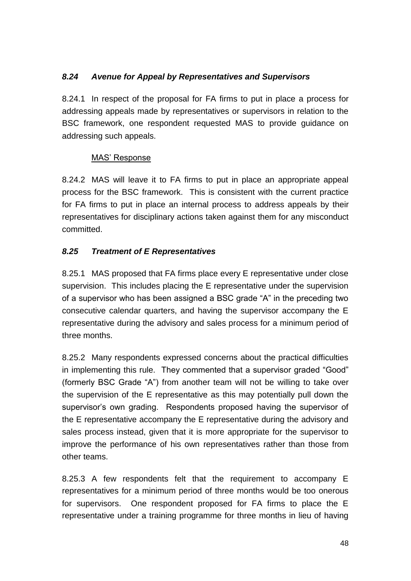## *8.24 Avenue for Appeal by Representatives and Supervisors*

8.24.1 In respect of the proposal for FA firms to put in place a process for addressing appeals made by representatives or supervisors in relation to the BSC framework, one respondent requested MAS to provide guidance on addressing such appeals.

#### MAS' Response

8.24.2 MAS will leave it to FA firms to put in place an appropriate appeal process for the BSC framework. This is consistent with the current practice for FA firms to put in place an internal process to address appeals by their representatives for disciplinary actions taken against them for any misconduct committed.

## *8.25 Treatment of E Representatives*

8.25.1 MAS proposed that FA firms place every E representative under close supervision. This includes placing the E representative under the supervision of a supervisor who has been assigned a BSC grade "A" in the preceding two consecutive calendar quarters, and having the supervisor accompany the E representative during the advisory and sales process for a minimum period of three months.

8.25.2 Many respondents expressed concerns about the practical difficulties in implementing this rule. They commented that a supervisor graded "Good" (formerly BSC Grade "A") from another team will not be willing to take over the supervision of the E representative as this may potentially pull down the supervisor's own grading. Respondents proposed having the supervisor of the E representative accompany the E representative during the advisory and sales process instead, given that it is more appropriate for the supervisor to improve the performance of his own representatives rather than those from other teams.

8.25.3 A few respondents felt that the requirement to accompany E representatives for a minimum period of three months would be too onerous for supervisors. One respondent proposed for FA firms to place the E representative under a training programme for three months in lieu of having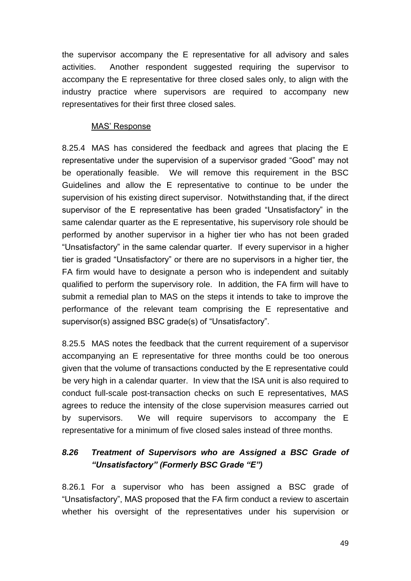the supervisor accompany the E representative for all advisory and sales activities. Another respondent suggested requiring the supervisor to accompany the E representative for three closed sales only, to align with the industry practice where supervisors are required to accompany new representatives for their first three closed sales.

#### MAS' Response

8.25.4 MAS has considered the feedback and agrees that placing the E representative under the supervision of a supervisor graded "Good" may not be operationally feasible. We will remove this requirement in the BSC Guidelines and allow the E representative to continue to be under the supervision of his existing direct supervisor. Notwithstanding that, if the direct supervisor of the E representative has been graded "Unsatisfactory" in the same calendar quarter as the E representative, his supervisory role should be performed by another supervisor in a higher tier who has not been graded "Unsatisfactory" in the same calendar quarter. If every supervisor in a higher tier is graded "Unsatisfactory" or there are no supervisors in a higher tier, the FA firm would have to designate a person who is independent and suitably qualified to perform the supervisory role. In addition, the FA firm will have to submit a remedial plan to MAS on the steps it intends to take to improve the performance of the relevant team comprising the E representative and supervisor(s) assigned BSC grade(s) of "Unsatisfactory".

8.25.5 MAS notes the feedback that the current requirement of a supervisor accompanying an E representative for three months could be too onerous given that the volume of transactions conducted by the E representative could be very high in a calendar quarter. In view that the ISA unit is also required to conduct full-scale post-transaction checks on such E representatives, MAS agrees to reduce the intensity of the close supervision measures carried out by supervisors. We will require supervisors to accompany the E representative for a minimum of five closed sales instead of three months.

# *8.26 Treatment of Supervisors who are Assigned a BSC Grade of "Unsatisfactory" (Formerly BSC Grade "E")*

8.26.1 For a supervisor who has been assigned a BSC grade of "Unsatisfactory", MAS proposed that the FA firm conduct a review to ascertain whether his oversight of the representatives under his supervision or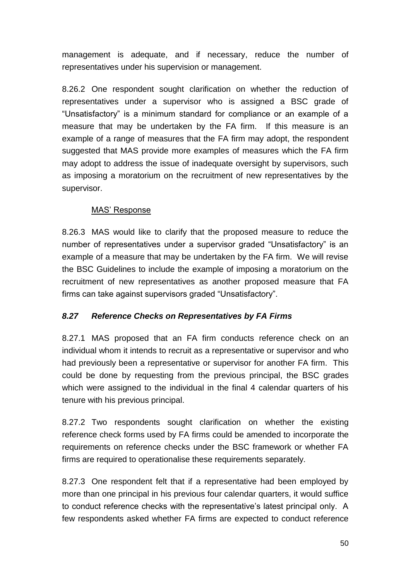management is adequate, and if necessary, reduce the number of representatives under his supervision or management.

8.26.2 One respondent sought clarification on whether the reduction of representatives under a supervisor who is assigned a BSC grade of "Unsatisfactory" is a minimum standard for compliance or an example of a measure that may be undertaken by the FA firm. If this measure is an example of a range of measures that the FA firm may adopt, the respondent suggested that MAS provide more examples of measures which the FA firm may adopt to address the issue of inadequate oversight by supervisors, such as imposing a moratorium on the recruitment of new representatives by the supervisor.

#### MAS' Response

8.26.3 MAS would like to clarify that the proposed measure to reduce the number of representatives under a supervisor graded "Unsatisfactory" is an example of a measure that may be undertaken by the FA firm. We will revise the BSC Guidelines to include the example of imposing a moratorium on the recruitment of new representatives as another proposed measure that FA firms can take against supervisors graded "Unsatisfactory".

## *8.27 Reference Checks on Representatives by FA Firms*

8.27.1 MAS proposed that an FA firm conducts reference check on an individual whom it intends to recruit as a representative or supervisor and who had previously been a representative or supervisor for another FA firm. This could be done by requesting from the previous principal, the BSC grades which were assigned to the individual in the final 4 calendar quarters of his tenure with his previous principal.

8.27.2 Two respondents sought clarification on whether the existing reference check forms used by FA firms could be amended to incorporate the requirements on reference checks under the BSC framework or whether FA firms are required to operationalise these requirements separately.

8.27.3 One respondent felt that if a representative had been employed by more than one principal in his previous four calendar quarters, it would suffice to conduct reference checks with the representative's latest principal only. A few respondents asked whether FA firms are expected to conduct reference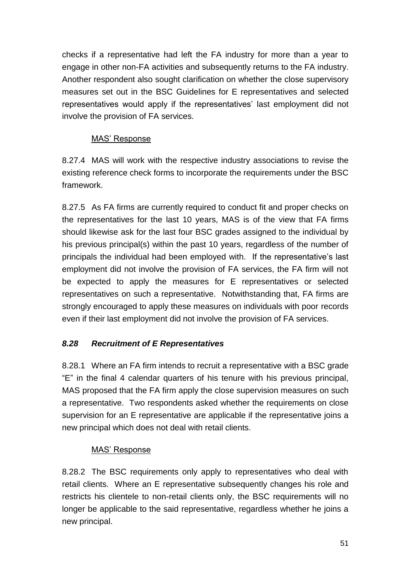checks if a representative had left the FA industry for more than a year to engage in other non-FA activities and subsequently returns to the FA industry. Another respondent also sought clarification on whether the close supervisory measures set out in the BSC Guidelines for E representatives and selected representatives would apply if the representatives' last employment did not involve the provision of FA services.

## MAS' Response

8.27.4 MAS will work with the respective industry associations to revise the existing reference check forms to incorporate the requirements under the BSC framework.

8.27.5 As FA firms are currently required to conduct fit and proper checks on the representatives for the last 10 years, MAS is of the view that FA firms should likewise ask for the last four BSC grades assigned to the individual by his previous principal(s) within the past 10 years, regardless of the number of principals the individual had been employed with. If the representative's last employment did not involve the provision of FA services, the FA firm will not be expected to apply the measures for E representatives or selected representatives on such a representative. Notwithstanding that, FA firms are strongly encouraged to apply these measures on individuals with poor records even if their last employment did not involve the provision of FA services.

## *8.28 Recruitment of E Representatives*

8.28.1 Where an FA firm intends to recruit a representative with a BSC grade "E" in the final 4 calendar quarters of his tenure with his previous principal, MAS proposed that the FA firm apply the close supervision measures on such a representative. Two respondents asked whether the requirements on close supervision for an E representative are applicable if the representative joins a new principal which does not deal with retail clients.

## MAS' Response

8.28.2 The BSC requirements only apply to representatives who deal with retail clients. Where an E representative subsequently changes his role and restricts his clientele to non-retail clients only, the BSC requirements will no longer be applicable to the said representative, regardless whether he joins a new principal.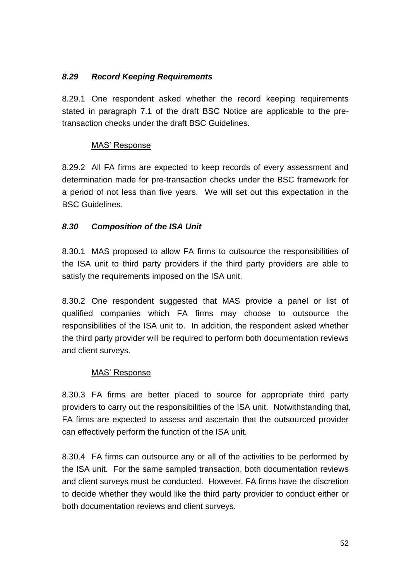### *8.29 Record Keeping Requirements*

8.29.1 One respondent asked whether the record keeping requirements stated in paragraph 7.1 of the draft BSC Notice are applicable to the pretransaction checks under the draft BSC Guidelines.

#### MAS' Response

8.29.2 All FA firms are expected to keep records of every assessment and determination made for pre-transaction checks under the BSC framework for a period of not less than five years. We will set out this expectation in the BSC Guidelines.

### *8.30 Composition of the ISA Unit*

8.30.1 MAS proposed to allow FA firms to outsource the responsibilities of the ISA unit to third party providers if the third party providers are able to satisfy the requirements imposed on the ISA unit.

8.30.2 One respondent suggested that MAS provide a panel or list of qualified companies which FA firms may choose to outsource the responsibilities of the ISA unit to. In addition, the respondent asked whether the third party provider will be required to perform both documentation reviews and client surveys.

#### MAS' Response

8.30.3 FA firms are better placed to source for appropriate third party providers to carry out the responsibilities of the ISA unit. Notwithstanding that, FA firms are expected to assess and ascertain that the outsourced provider can effectively perform the function of the ISA unit.

8.30.4 FA firms can outsource any or all of the activities to be performed by the ISA unit. For the same sampled transaction, both documentation reviews and client surveys must be conducted. However, FA firms have the discretion to decide whether they would like the third party provider to conduct either or both documentation reviews and client surveys.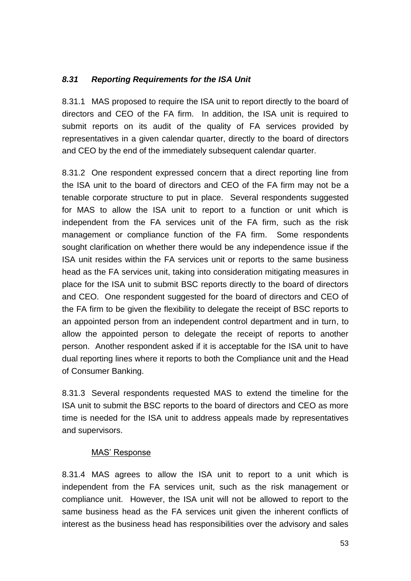### *8.31 Reporting Requirements for the ISA Unit*

8.31.1 MAS proposed to require the ISA unit to report directly to the board of directors and CEO of the FA firm. In addition, the ISA unit is required to submit reports on its audit of the quality of FA services provided by representatives in a given calendar quarter, directly to the board of directors and CEO by the end of the immediately subsequent calendar quarter.

8.31.2 One respondent expressed concern that a direct reporting line from the ISA unit to the board of directors and CEO of the FA firm may not be a tenable corporate structure to put in place. Several respondents suggested for MAS to allow the ISA unit to report to a function or unit which is independent from the FA services unit of the FA firm, such as the risk management or compliance function of the FA firm. Some respondents sought clarification on whether there would be any independence issue if the ISA unit resides within the FA services unit or reports to the same business head as the FA services unit, taking into consideration mitigating measures in place for the ISA unit to submit BSC reports directly to the board of directors and CEO. One respondent suggested for the board of directors and CEO of the FA firm to be given the flexibility to delegate the receipt of BSC reports to an appointed person from an independent control department and in turn, to allow the appointed person to delegate the receipt of reports to another person. Another respondent asked if it is acceptable for the ISA unit to have dual reporting lines where it reports to both the Compliance unit and the Head of Consumer Banking.

8.31.3 Several respondents requested MAS to extend the timeline for the ISA unit to submit the BSC reports to the board of directors and CEO as more time is needed for the ISA unit to address appeals made by representatives and supervisors.

#### MAS' Response

8.31.4 MAS agrees to allow the ISA unit to report to a unit which is independent from the FA services unit, such as the risk management or compliance unit. However, the ISA unit will not be allowed to report to the same business head as the FA services unit given the inherent conflicts of interest as the business head has responsibilities over the advisory and sales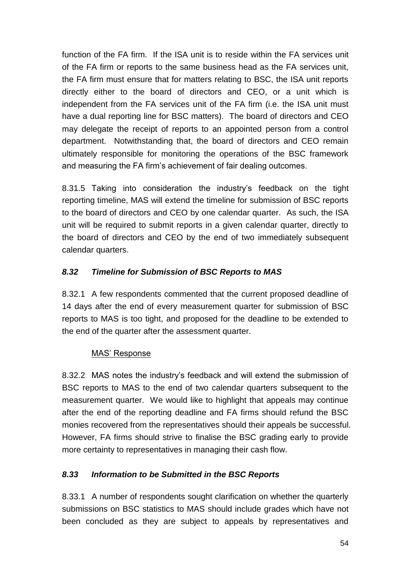function of the FA firm. If the ISA unit is to reside within the FA services unit of the FA firm or reports to the same business head as the FA services unit, the FA firm must ensure that for matters relating to BSC, the ISA unit reports directly either to the board of directors and CEO, or a unit which is independent from the FA services unit of the FA firm (i.e. the ISA unit must have a dual reporting line for BSC matters). The board of directors and CEO may delegate the receipt of reports to an appointed person from a control department. Notwithstanding that, the board of directors and CEO remain ultimately responsible for monitoring the operations of the BSC framework and measuring the FA firm's achievement of fair dealing outcomes.

8.31.5 Taking into consideration the industry's feedback on the tight reporting timeline, MAS will extend the timeline for submission of BSC reports to the board of directors and CEO by one calendar quarter. As such, the ISA unit will be required to submit reports in a given calendar quarter, directly to the board of directors and CEO by the end of two immediately subsequent calendar quarters.

## *8.32 Timeline for Submission of BSC Reports to MAS*

8.32.1 A few respondents commented that the current proposed deadline of 14 days after the end of every measurement quarter for submission of BSC reports to MAS is too tight, and proposed for the deadline to be extended to the end of the quarter after the assessment quarter.

#### MAS' Response

8.32.2 MAS notes the industry's feedback and will extend the submission of BSC reports to MAS to the end of two calendar quarters subsequent to the measurement quarter. We would like to highlight that appeals may continue after the end of the reporting deadline and FA firms should refund the BSC monies recovered from the representatives should their appeals be successful. However, FA firms should strive to finalise the BSC grading early to provide more certainty to representatives in managing their cash flow.

#### *8.33 Information to be Submitted in the BSC Reports*

8.33.1 A number of respondents sought clarification on whether the quarterly submissions on BSC statistics to MAS should include grades which have not been concluded as they are subject to appeals by representatives and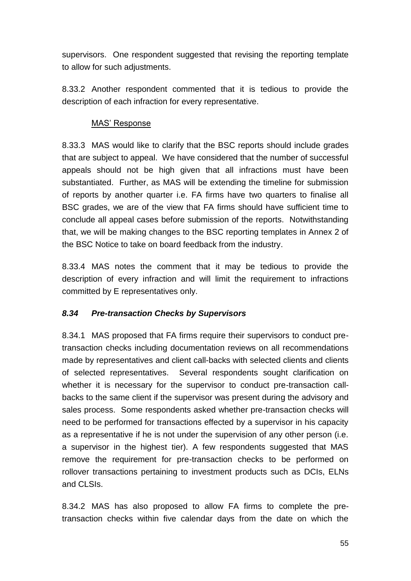supervisors. One respondent suggested that revising the reporting template to allow for such adjustments.

8.33.2 Another respondent commented that it is tedious to provide the description of each infraction for every representative.

### MAS' Response

8.33.3 MAS would like to clarify that the BSC reports should include grades that are subject to appeal. We have considered that the number of successful appeals should not be high given that all infractions must have been substantiated. Further, as MAS will be extending the timeline for submission of reports by another quarter i.e. FA firms have two quarters to finalise all BSC grades, we are of the view that FA firms should have sufficient time to conclude all appeal cases before submission of the reports. Notwithstanding that, we will be making changes to the BSC reporting templates in Annex 2 of the BSC Notice to take on board feedback from the industry.

8.33.4 MAS notes the comment that it may be tedious to provide the description of every infraction and will limit the requirement to infractions committed by E representatives only.

## *8.34 Pre-transaction Checks by Supervisors*

8.34.1 MAS proposed that FA firms require their supervisors to conduct pretransaction checks including documentation reviews on all recommendations made by representatives and client call-backs with selected clients and clients of selected representatives. Several respondents sought clarification on whether it is necessary for the supervisor to conduct pre-transaction callbacks to the same client if the supervisor was present during the advisory and sales process. Some respondents asked whether pre-transaction checks will need to be performed for transactions effected by a supervisor in his capacity as a representative if he is not under the supervision of any other person (i.e. a supervisor in the highest tier). A few respondents suggested that MAS remove the requirement for pre-transaction checks to be performed on rollover transactions pertaining to investment products such as DCIs, ELNs and CLSIs.

8.34.2 MAS has also proposed to allow FA firms to complete the pretransaction checks within five calendar days from the date on which the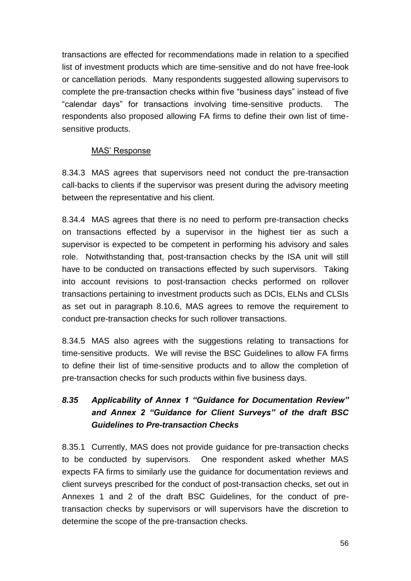transactions are effected for recommendations made in relation to a specified list of investment products which are time-sensitive and do not have free-look or cancellation periods. Many respondents suggested allowing supervisors to complete the pre-transaction checks within five "business days" instead of five "calendar days" for transactions involving time-sensitive products. The respondents also proposed allowing FA firms to define their own list of timesensitive products.

### MAS' Response

8.34.3 MAS agrees that supervisors need not conduct the pre-transaction call-backs to clients if the supervisor was present during the advisory meeting between the representative and his client.

8.34.4 MAS agrees that there is no need to perform pre-transaction checks on transactions effected by a supervisor in the highest tier as such a supervisor is expected to be competent in performing his advisory and sales role. Notwithstanding that, post-transaction checks by the ISA unit will still have to be conducted on transactions effected by such supervisors. Taking into account revisions to post-transaction checks performed on rollover transactions pertaining to investment products such as DCIs, ELNs and CLSIs as set out in paragraph 8.10.6, MAS agrees to remove the requirement to conduct pre-transaction checks for such rollover transactions.

8.34.5 MAS also agrees with the suggestions relating to transactions for time-sensitive products. We will revise the BSC Guidelines to allow FA firms to define their list of time-sensitive products and to allow the completion of pre-transaction checks for such products within five business days.

# *8.35 Applicability of Annex 1 "Guidance for Documentation Review" and Annex 2 "Guidance for Client Surveys" of the draft BSC Guidelines to Pre-transaction Checks*

8.35.1 Currently, MAS does not provide guidance for pre-transaction checks to be conducted by supervisors. One respondent asked whether MAS expects FA firms to similarly use the guidance for documentation reviews and client surveys prescribed for the conduct of post-transaction checks, set out in Annexes 1 and 2 of the draft BSC Guidelines, for the conduct of pretransaction checks by supervisors or will supervisors have the discretion to determine the scope of the pre-transaction checks.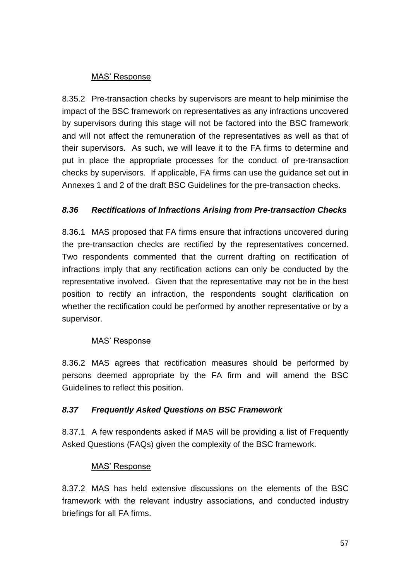#### MAS' Response

8.35.2 Pre-transaction checks by supervisors are meant to help minimise the impact of the BSC framework on representatives as any infractions uncovered by supervisors during this stage will not be factored into the BSC framework and will not affect the remuneration of the representatives as well as that of their supervisors. As such, we will leave it to the FA firms to determine and put in place the appropriate processes for the conduct of pre-transaction checks by supervisors. If applicable, FA firms can use the guidance set out in Annexes 1 and 2 of the draft BSC Guidelines for the pre-transaction checks.

### *8.36 Rectifications of Infractions Arising from Pre-transaction Checks*

8.36.1 MAS proposed that FA firms ensure that infractions uncovered during the pre-transaction checks are rectified by the representatives concerned. Two respondents commented that the current drafting on rectification of infractions imply that any rectification actions can only be conducted by the representative involved. Given that the representative may not be in the best position to rectify an infraction, the respondents sought clarification on whether the rectification could be performed by another representative or by a supervisor.

#### MAS' Response

8.36.2 MAS agrees that rectification measures should be performed by persons deemed appropriate by the FA firm and will amend the BSC Guidelines to reflect this position.

#### *8.37 Frequently Asked Questions on BSC Framework*

8.37.1 A few respondents asked if MAS will be providing a list of Frequently Asked Questions (FAQs) given the complexity of the BSC framework.

#### MAS' Response

8.37.2 MAS has held extensive discussions on the elements of the BSC framework with the relevant industry associations, and conducted industry briefings for all FA firms.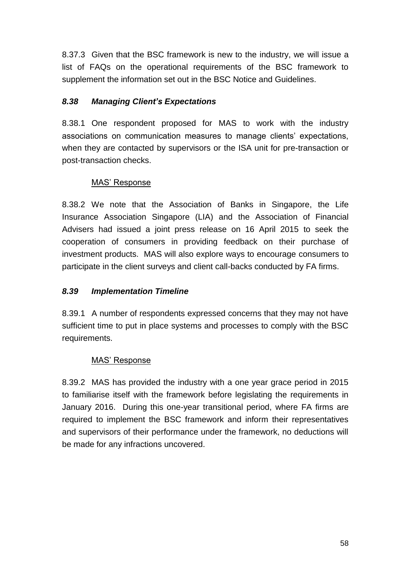8.37.3 Given that the BSC framework is new to the industry, we will issue a list of FAQs on the operational requirements of the BSC framework to supplement the information set out in the BSC Notice and Guidelines.

## *8.38 Managing Client's Expectations*

8.38.1 One respondent proposed for MAS to work with the industry associations on communication measures to manage clients' expectations, when they are contacted by supervisors or the ISA unit for pre-transaction or post-transaction checks.

### MAS' Response

8.38.2 We note that the Association of Banks in Singapore, the Life Insurance Association Singapore (LIA) and the Association of Financial Advisers had issued a joint press release on 16 April 2015 to seek the cooperation of consumers in providing feedback on their purchase of investment products. MAS will also explore ways to encourage consumers to participate in the client surveys and client call-backs conducted by FA firms.

### *8.39 Implementation Timeline*

8.39.1 A number of respondents expressed concerns that they may not have sufficient time to put in place systems and processes to comply with the BSC requirements.

#### MAS' Response

8.39.2 MAS has provided the industry with a one year grace period in 2015 to familiarise itself with the framework before legislating the requirements in January 2016. During this one-year transitional period, where FA firms are required to implement the BSC framework and inform their representatives and supervisors of their performance under the framework, no deductions will be made for any infractions uncovered.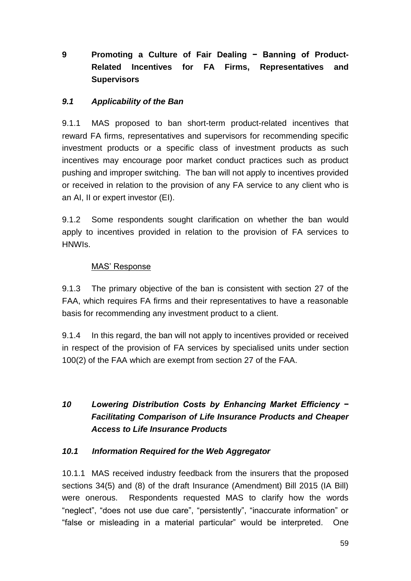# **9 Promoting a Culture of Fair Dealing − Banning of Product-Related Incentives for FA Firms, Representatives and Supervisors**

### *9.1 Applicability of the Ban*

9.1.1 MAS proposed to ban short-term product-related incentives that reward FA firms, representatives and supervisors for recommending specific investment products or a specific class of investment products as such incentives may encourage poor market conduct practices such as product pushing and improper switching. The ban will not apply to incentives provided or received in relation to the provision of any FA service to any client who is an AI, II or expert investor (EI).

9.1.2 Some respondents sought clarification on whether the ban would apply to incentives provided in relation to the provision of FA services to HNWIs.

#### MAS' Response

9.1.3 The primary objective of the ban is consistent with section 27 of the FAA, which requires FA firms and their representatives to have a reasonable basis for recommending any investment product to a client.

9.1.4 In this regard, the ban will not apply to incentives provided or received in respect of the provision of FA services by specialised units under section 100(2) of the FAA which are exempt from section 27 of the FAA.

# *10 Lowering Distribution Costs by Enhancing Market Efficiency − Facilitating Comparison of Life Insurance Products and Cheaper Access to Life Insurance Products*

#### *10.1 Information Required for the Web Aggregator*

10.1.1 MAS received industry feedback from the insurers that the proposed sections 34(5) and (8) of the draft Insurance (Amendment) Bill 2015 (IA Bill) were onerous. Respondents requested MAS to clarify how the words "neglect", "does not use due care", "persistently", "inaccurate information" or "false or misleading in a material particular" would be interpreted. One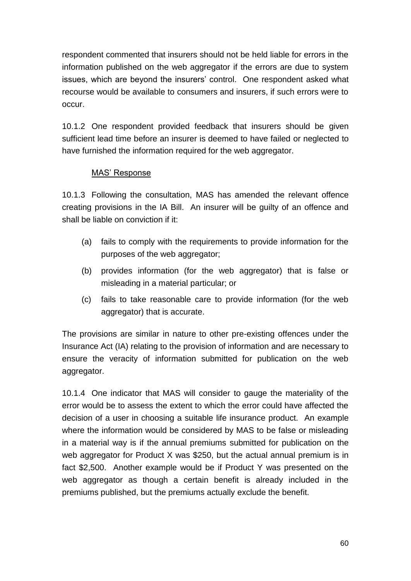respondent commented that insurers should not be held liable for errors in the information published on the web aggregator if the errors are due to system issues, which are beyond the insurers' control. One respondent asked what recourse would be available to consumers and insurers, if such errors were to occur.

10.1.2 One respondent provided feedback that insurers should be given sufficient lead time before an insurer is deemed to have failed or neglected to have furnished the information required for the web aggregator.

### MAS' Response

10.1.3 Following the consultation, MAS has amended the relevant offence creating provisions in the IA Bill. An insurer will be guilty of an offence and shall be liable on conviction if it:

- (a) fails to comply with the requirements to provide information for the purposes of the web aggregator;
- (b) provides information (for the web aggregator) that is false or misleading in a material particular; or
- (c) fails to take reasonable care to provide information (for the web aggregator) that is accurate.

The provisions are similar in nature to other pre-existing offences under the Insurance Act (IA) relating to the provision of information and are necessary to ensure the veracity of information submitted for publication on the web aggregator.

10.1.4 One indicator that MAS will consider to gauge the materiality of the error would be to assess the extent to which the error could have affected the decision of a user in choosing a suitable life insurance product. An example where the information would be considered by MAS to be false or misleading in a material way is if the annual premiums submitted for publication on the web aggregator for Product X was \$250, but the actual annual premium is in fact \$2,500. Another example would be if Product Y was presented on the web aggregator as though a certain benefit is already included in the premiums published, but the premiums actually exclude the benefit.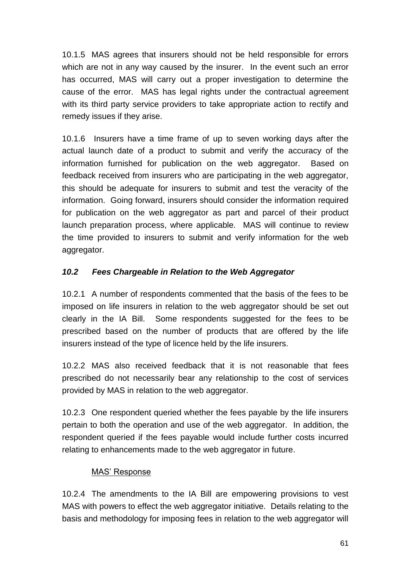10.1.5 MAS agrees that insurers should not be held responsible for errors which are not in any way caused by the insurer. In the event such an error has occurred, MAS will carry out a proper investigation to determine the cause of the error. MAS has legal rights under the contractual agreement with its third party service providers to take appropriate action to rectify and remedy issues if they arise.

10.1.6 Insurers have a time frame of up to seven working days after the actual launch date of a product to submit and verify the accuracy of the information furnished for publication on the web aggregator. Based on feedback received from insurers who are participating in the web aggregator, this should be adequate for insurers to submit and test the veracity of the information. Going forward, insurers should consider the information required for publication on the web aggregator as part and parcel of their product launch preparation process, where applicable. MAS will continue to review the time provided to insurers to submit and verify information for the web aggregator.

## *10.2 Fees Chargeable in Relation to the Web Aggregator*

10.2.1 A number of respondents commented that the basis of the fees to be imposed on life insurers in relation to the web aggregator should be set out clearly in the IA Bill. Some respondents suggested for the fees to be prescribed based on the number of products that are offered by the life insurers instead of the type of licence held by the life insurers.

10.2.2 MAS also received feedback that it is not reasonable that fees prescribed do not necessarily bear any relationship to the cost of services provided by MAS in relation to the web aggregator.

10.2.3 One respondent queried whether the fees payable by the life insurers pertain to both the operation and use of the web aggregator. In addition, the respondent queried if the fees payable would include further costs incurred relating to enhancements made to the web aggregator in future.

#### MAS' Response

10.2.4 The amendments to the IA Bill are empowering provisions to vest MAS with powers to effect the web aggregator initiative. Details relating to the basis and methodology for imposing fees in relation to the web aggregator will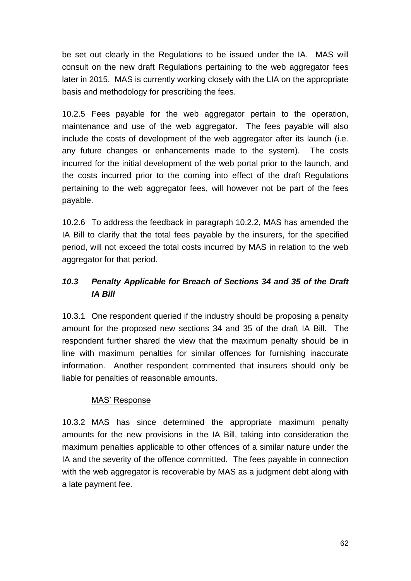be set out clearly in the Regulations to be issued under the IA. MAS will consult on the new draft Regulations pertaining to the web aggregator fees later in 2015. MAS is currently working closely with the LIA on the appropriate basis and methodology for prescribing the fees.

10.2.5 Fees payable for the web aggregator pertain to the operation, maintenance and use of the web aggregator. The fees payable will also include the costs of development of the web aggregator after its launch (i.e. any future changes or enhancements made to the system). The costs incurred for the initial development of the web portal prior to the launch, and the costs incurred prior to the coming into effect of the draft Regulations pertaining to the web aggregator fees, will however not be part of the fees payable.

10.2.6 To address the feedback in paragraph 10.2.2, MAS has amended the IA Bill to clarify that the total fees payable by the insurers, for the specified period, will not exceed the total costs incurred by MAS in relation to the web aggregator for that period.

# *10.3 Penalty Applicable for Breach of Sections 34 and 35 of the Draft IA Bill*

10.3.1 One respondent queried if the industry should be proposing a penalty amount for the proposed new sections 34 and 35 of the draft IA Bill. The respondent further shared the view that the maximum penalty should be in line with maximum penalties for similar offences for furnishing inaccurate information. Another respondent commented that insurers should only be liable for penalties of reasonable amounts.

#### MAS' Response

10.3.2 MAS has since determined the appropriate maximum penalty amounts for the new provisions in the IA Bill, taking into consideration the maximum penalties applicable to other offences of a similar nature under the IA and the severity of the offence committed. The fees payable in connection with the web aggregator is recoverable by MAS as a judgment debt along with a late payment fee.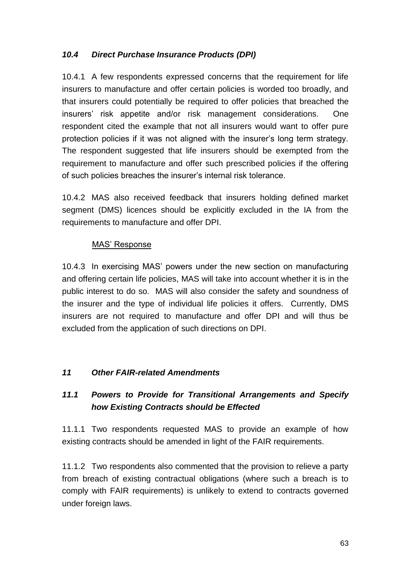## *10.4 Direct Purchase Insurance Products (DPI)*

10.4.1 A few respondents expressed concerns that the requirement for life insurers to manufacture and offer certain policies is worded too broadly, and that insurers could potentially be required to offer policies that breached the insurers' risk appetite and/or risk management considerations. One respondent cited the example that not all insurers would want to offer pure protection policies if it was not aligned with the insurer's long term strategy. The respondent suggested that life insurers should be exempted from the requirement to manufacture and offer such prescribed policies if the offering of such policies breaches the insurer's internal risk tolerance.

10.4.2 MAS also received feedback that insurers holding defined market segment (DMS) licences should be explicitly excluded in the IA from the requirements to manufacture and offer DPI.

### MAS' Response

10.4.3 In exercising MAS' powers under the new section on manufacturing and offering certain life policies, MAS will take into account whether it is in the public interest to do so. MAS will also consider the safety and soundness of the insurer and the type of individual life policies it offers. Currently, DMS insurers are not required to manufacture and offer DPI and will thus be excluded from the application of such directions on DPI.

## *11 Other FAIR-related Amendments*

# *11.1 Powers to Provide for Transitional Arrangements and Specify how Existing Contracts should be Effected*

11.1.1 Two respondents requested MAS to provide an example of how existing contracts should be amended in light of the FAIR requirements.

11.1.2 Two respondents also commented that the provision to relieve a party from breach of existing contractual obligations (where such a breach is to comply with FAIR requirements) is unlikely to extend to contracts governed under foreign laws.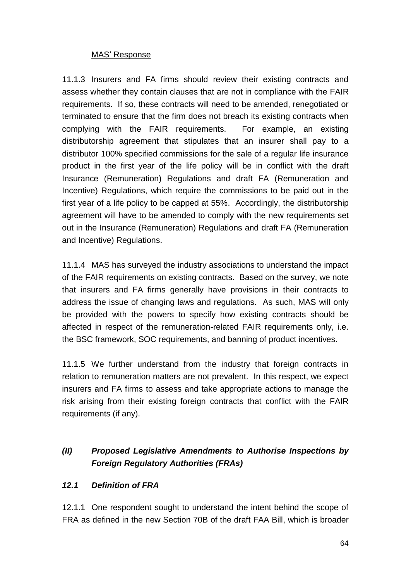#### MAS' Response

11.1.3 Insurers and FA firms should review their existing contracts and assess whether they contain clauses that are not in compliance with the FAIR requirements. If so, these contracts will need to be amended, renegotiated or terminated to ensure that the firm does not breach its existing contracts when complying with the FAIR requirements. For example, an existing distributorship agreement that stipulates that an insurer shall pay to a distributor 100% specified commissions for the sale of a regular life insurance product in the first year of the life policy will be in conflict with the draft Insurance (Remuneration) Regulations and draft FA (Remuneration and Incentive) Regulations, which require the commissions to be paid out in the first year of a life policy to be capped at 55%. Accordingly, the distributorship agreement will have to be amended to comply with the new requirements set out in the Insurance (Remuneration) Regulations and draft FA (Remuneration and Incentive) Regulations.

11.1.4 MAS has surveyed the industry associations to understand the impact of the FAIR requirements on existing contracts. Based on the survey, we note that insurers and FA firms generally have provisions in their contracts to address the issue of changing laws and regulations. As such, MAS will only be provided with the powers to specify how existing contracts should be affected in respect of the remuneration-related FAIR requirements only, i.e. the BSC framework, SOC requirements, and banning of product incentives.

11.1.5 We further understand from the industry that foreign contracts in relation to remuneration matters are not prevalent. In this respect, we expect insurers and FA firms to assess and take appropriate actions to manage the risk arising from their existing foreign contracts that conflict with the FAIR requirements (if any).

# *(II) Proposed Legislative Amendments to Authorise Inspections by Foreign Regulatory Authorities (FRAs)*

## *12.1 Definition of FRA*

12.1.1 One respondent sought to understand the intent behind the scope of FRA as defined in the new Section 70B of the draft FAA Bill, which is broader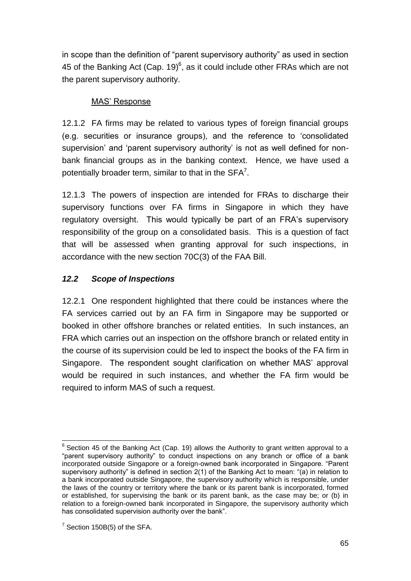in scope than the definition of "parent supervisory authority" as used in section 45 of the Banking Act (Cap. 19) $<sup>6</sup>$ , as it could include other FRAs which are not</sup> the parent supervisory authority.

## MAS' Response

12.1.2 FA firms may be related to various types of foreign financial groups (e.g. securities or insurance groups), and the reference to 'consolidated supervision' and 'parent supervisory authority' is not as well defined for nonbank financial groups as in the banking context. Hence, we have used a potentially broader term, similar to that in the  $SFA^7$ .

12.1.3 The powers of inspection are intended for FRAs to discharge their supervisory functions over FA firms in Singapore in which they have regulatory oversight. This would typically be part of an FRA's supervisory responsibility of the group on a consolidated basis. This is a question of fact that will be assessed when granting approval for such inspections, in accordance with the new section 70C(3) of the FAA Bill.

# *12.2 Scope of Inspections*

12.2.1 One respondent highlighted that there could be instances where the FA services carried out by an FA firm in Singapore may be supported or booked in other offshore branches or related entities. In such instances, an FRA which carries out an inspection on the offshore branch or related entity in the course of its supervision could be led to inspect the books of the FA firm in Singapore. The respondent sought clarification on whether MAS' approval would be required in such instances, and whether the FA firm would be required to inform MAS of such a request.

 $\overline{a}$  $6$  Section 45 of the Banking Act (Cap. 19) allows the Authority to grant written approval to a "parent supervisory authority" to conduct inspections on any branch or office of a bank incorporated outside Singapore or a foreign-owned bank incorporated in Singapore. "Parent supervisory authority" is defined in section 2(1) of the Banking Act to mean: "(a) in relation to a bank incorporated outside Singapore, the supervisory authority which is responsible, under the laws of the country or territory where the bank or its parent bank is incorporated, formed or established, for supervising the bank or its parent bank, as the case may be; or (b) in relation to a foreign-owned bank incorporated in Singapore, the supervisory authority which has consolidated supervision authority over the bank".

 $7$  Section 150B(5) of the SFA.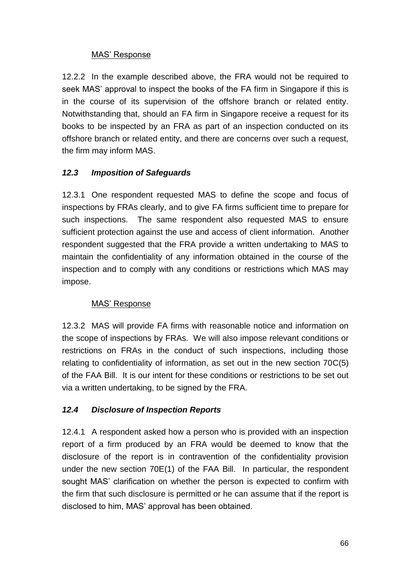### MAS' Response

12.2.2 In the example described above, the FRA would not be required to seek MAS' approval to inspect the books of the FA firm in Singapore if this is in the course of its supervision of the offshore branch or related entity. Notwithstanding that, should an FA firm in Singapore receive a request for its books to be inspected by an FRA as part of an inspection conducted on its offshore branch or related entity, and there are concerns over such a request, the firm may inform MAS.

## *12.3 Imposition of Safeguards*

12.3.1 One respondent requested MAS to define the scope and focus of inspections by FRAs clearly, and to give FA firms sufficient time to prepare for such inspections. The same respondent also requested MAS to ensure sufficient protection against the use and access of client information. Another respondent suggested that the FRA provide a written undertaking to MAS to maintain the confidentiality of any information obtained in the course of the inspection and to comply with any conditions or restrictions which MAS may impose.

## MAS' Response

12.3.2 MAS will provide FA firms with reasonable notice and information on the scope of inspections by FRAs. We will also impose relevant conditions or restrictions on FRAs in the conduct of such inspections, including those relating to confidentiality of information, as set out in the new section 70C(5) of the FAA Bill. It is our intent for these conditions or restrictions to be set out via a written undertaking, to be signed by the FRA.

## *12.4 Disclosure of Inspection Reports*

12.4.1 A respondent asked how a person who is provided with an inspection report of a firm produced by an FRA would be deemed to know that the disclosure of the report is in contravention of the confidentiality provision under the new section 70E(1) of the FAA Bill. In particular, the respondent sought MAS' clarification on whether the person is expected to confirm with the firm that such disclosure is permitted or he can assume that if the report is disclosed to him, MAS' approval has been obtained.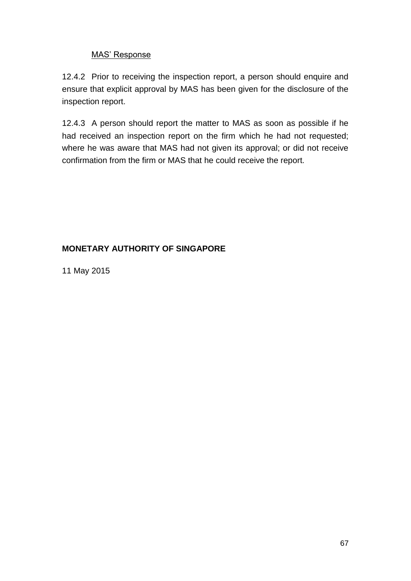### MAS' Response

12.4.2 Prior to receiving the inspection report, a person should enquire and ensure that explicit approval by MAS has been given for the disclosure of the inspection report.

12.4.3 A person should report the matter to MAS as soon as possible if he had received an inspection report on the firm which he had not requested; where he was aware that MAS had not given its approval; or did not receive confirmation from the firm or MAS that he could receive the report.

### **MONETARY AUTHORITY OF SINGAPORE**

11 May 2015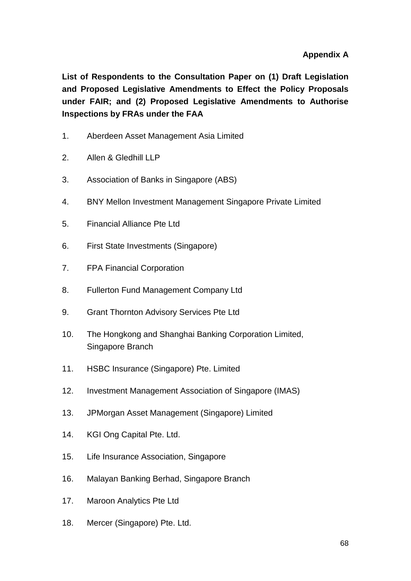**List of Respondents to the Consultation Paper on (1) Draft Legislation and Proposed Legislative Amendments to Effect the Policy Proposals under FAIR; and (2) Proposed Legislative Amendments to Authorise Inspections by FRAs under the FAA**

- 1. Aberdeen Asset Management Asia Limited
- 2. Allen & Gledhill LLP
- 3. Association of Banks in Singapore (ABS)
- 4. BNY Mellon Investment Management Singapore Private Limited
- 5. Financial Alliance Pte Ltd
- 6. First State Investments (Singapore)
- 7. FPA Financial Corporation
- 8. Fullerton Fund Management Company Ltd
- 9. Grant Thornton Advisory Services Pte Ltd
- 10. The Hongkong and Shanghai Banking Corporation Limited, Singapore Branch
- 11. HSBC Insurance (Singapore) Pte. Limited
- 12. Investment Management Association of Singapore (IMAS)
- 13. JPMorgan Asset Management (Singapore) Limited
- 14. KGI Ong Capital Pte. Ltd.
- 15. Life Insurance Association, Singapore
- 16. Malayan Banking Berhad, Singapore Branch
- 17. Maroon Analytics Pte Ltd
- 18. Mercer (Singapore) Pte. Ltd.